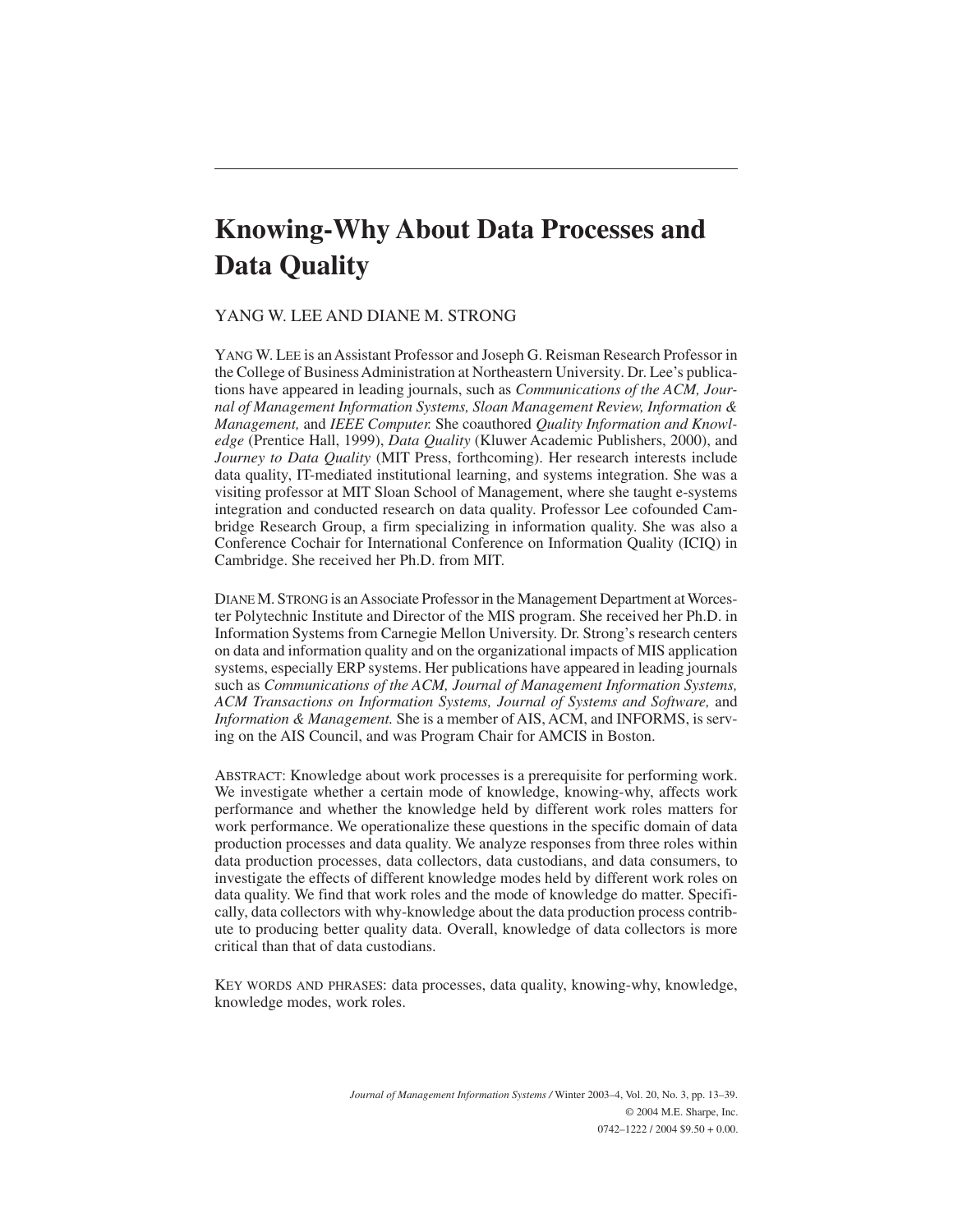# **Knowing-Why About Data Processes and Data Quality**

# YANG W. LEE AND DIANE M. STRONG

YANG W. LEE is an Assistant Professor and Joseph G. Reisman Research Professor in the College of Business Administration at Northeastern University. Dr. Lee's publications have appeared in leading journals, such as *Communications of the ACM, Journal of Management Information Systems, Sloan Management Review, Information & Management,* and *IEEE Computer.* She coauthored *Quality Information and Knowledge* (Prentice Hall, 1999), *Data Quality* (Kluwer Academic Publishers, 2000), and *Journey to Data Quality* (MIT Press, forthcoming). Her research interests include data quality, IT-mediated institutional learning, and systems integration. She was a visiting professor at MIT Sloan School of Management, where she taught e-systems integration and conducted research on data quality. Professor Lee cofounded Cambridge Research Group, a firm specializing in information quality. She was also a Conference Cochair for International Conference on Information Quality (ICIQ) in Cambridge. She received her Ph.D. from MIT.

DIANE M. STRONG is an Associate Professor in the Management Department at Worcester Polytechnic Institute and Director of the MIS program. She received her Ph.D. in Information Systems from Carnegie Mellon University. Dr. Strong's research centers on data and information quality and on the organizational impacts of MIS application systems, especially ERP systems. Her publications have appeared in leading journals such as *Communications of the ACM, Journal of Management Information Systems, ACM Transactions on Information Systems, Journal of Systems and Software,* and *Information & Management.* She is a member of AIS, ACM, and INFORMS, is serving on the AIS Council, and was Program Chair for AMCIS in Boston.

ABSTRACT: Knowledge about work processes is a prerequisite for performing work. We investigate whether a certain mode of knowledge, knowing-why, affects work performance and whether the knowledge held by different work roles matters for work performance. We operationalize these questions in the specific domain of data production processes and data quality. We analyze responses from three roles within data production processes, data collectors, data custodians, and data consumers, to investigate the effects of different knowledge modes held by different work roles on data quality. We find that work roles and the mode of knowledge do matter. Specifically, data collectors with why-knowledge about the data production process contribute to producing better quality data. Overall, knowledge of data collectors is more critical than that of data custodians.

KEY WORDS AND PHRASES: data processes, data quality, knowing-why, knowledge, knowledge modes, work roles.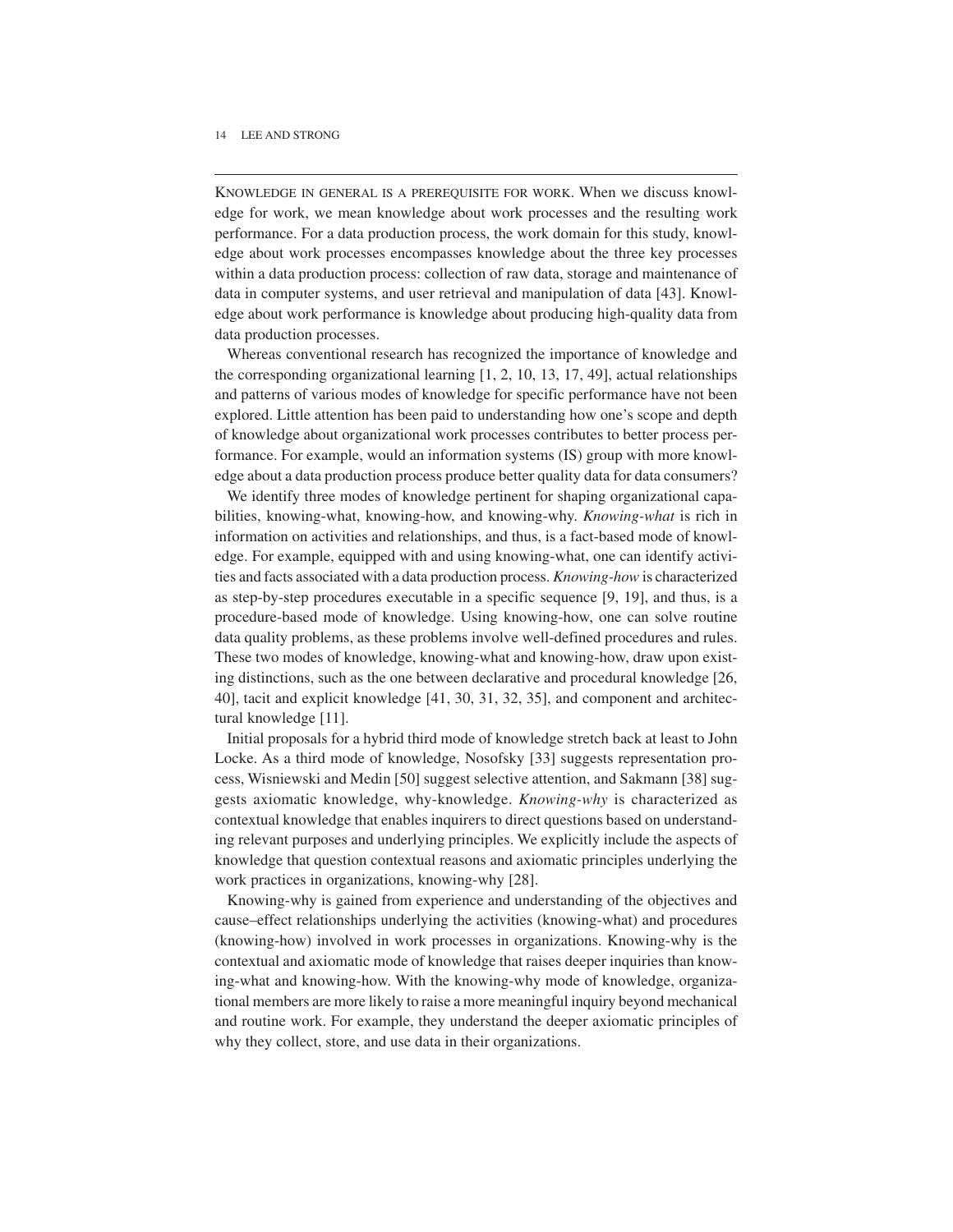KNOWLEDGE IN GENERAL IS A PREREQUISITE FOR WORK. When we discuss knowledge for work, we mean knowledge about work processes and the resulting work performance. For a data production process, the work domain for this study, knowledge about work processes encompasses knowledge about the three key processes within a data production process: collection of raw data, storage and maintenance of data in computer systems, and user retrieval and manipulation of data [43]. Knowledge about work performance is knowledge about producing high-quality data from data production processes.

Whereas conventional research has recognized the importance of knowledge and the corresponding organizational learning [1, 2, 10, 13, 17, 49], actual relationships and patterns of various modes of knowledge for specific performance have not been explored. Little attention has been paid to understanding how one's scope and depth of knowledge about organizational work processes contributes to better process performance. For example, would an information systems (IS) group with more knowledge about a data production process produce better quality data for data consumers?

We identify three modes of knowledge pertinent for shaping organizational capabilities, knowing-what, knowing-how, and knowing-why. *Knowing-what* is rich in information on activities and relationships, and thus, is a fact-based mode of knowledge. For example, equipped with and using knowing-what, one can identify activities and facts associated with a data production process. *Knowing-how* is characterized as step-by-step procedures executable in a specific sequence [9, 19], and thus, is a procedure-based mode of knowledge. Using knowing-how, one can solve routine data quality problems, as these problems involve well-defined procedures and rules. These two modes of knowledge, knowing-what and knowing-how, draw upon existing distinctions, such as the one between declarative and procedural knowledge [26, 40], tacit and explicit knowledge [41, 30, 31, 32, 35], and component and architectural knowledge [11].

Initial proposals for a hybrid third mode of knowledge stretch back at least to John Locke. As a third mode of knowledge, Nosofsky [33] suggests representation process, Wisniewski and Medin [50] suggest selective attention, and Sakmann [38] suggests axiomatic knowledge, why-knowledge. *Knowing-why* is characterized as contextual knowledge that enables inquirers to direct questions based on understanding relevant purposes and underlying principles. We explicitly include the aspects of knowledge that question contextual reasons and axiomatic principles underlying the work practices in organizations, knowing-why [28].

Knowing-why is gained from experience and understanding of the objectives and cause–effect relationships underlying the activities (knowing-what) and procedures (knowing-how) involved in work processes in organizations. Knowing-why is the contextual and axiomatic mode of knowledge that raises deeper inquiries than knowing-what and knowing-how. With the knowing-why mode of knowledge, organizational members are more likely to raise a more meaningful inquiry beyond mechanical and routine work. For example, they understand the deeper axiomatic principles of why they collect, store, and use data in their organizations.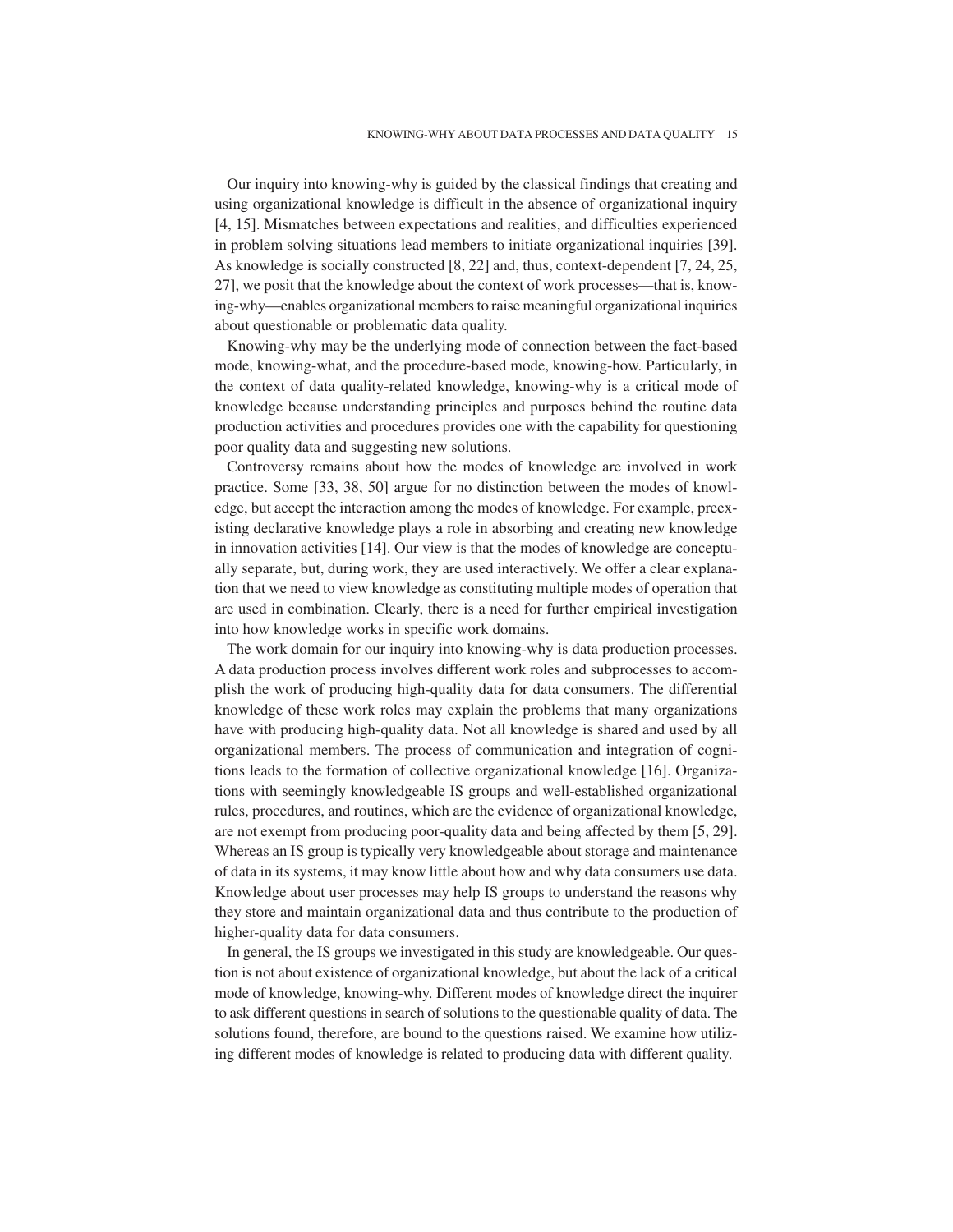Our inquiry into knowing-why is guided by the classical findings that creating and using organizational knowledge is difficult in the absence of organizational inquiry [4, 15]. Mismatches between expectations and realities, and difficulties experienced in problem solving situations lead members to initiate organizational inquiries [39]. As knowledge is socially constructed [8, 22] and, thus, context-dependent [7, 24, 25, 27], we posit that the knowledge about the context of work processes—that is, knowing-why—enables organizational members to raise meaningful organizational inquiries about questionable or problematic data quality.

Knowing-why may be the underlying mode of connection between the fact-based mode, knowing-what, and the procedure-based mode, knowing-how. Particularly, in the context of data quality-related knowledge, knowing-why is a critical mode of knowledge because understanding principles and purposes behind the routine data production activities and procedures provides one with the capability for questioning poor quality data and suggesting new solutions.

Controversy remains about how the modes of knowledge are involved in work practice. Some [33, 38, 50] argue for no distinction between the modes of knowledge, but accept the interaction among the modes of knowledge. For example, preexisting declarative knowledge plays a role in absorbing and creating new knowledge in innovation activities [14]. Our view is that the modes of knowledge are conceptually separate, but, during work, they are used interactively. We offer a clear explanation that we need to view knowledge as constituting multiple modes of operation that are used in combination. Clearly, there is a need for further empirical investigation into how knowledge works in specific work domains.

The work domain for our inquiry into knowing-why is data production processes. A data production process involves different work roles and subprocesses to accomplish the work of producing high-quality data for data consumers. The differential knowledge of these work roles may explain the problems that many organizations have with producing high-quality data. Not all knowledge is shared and used by all organizational members. The process of communication and integration of cognitions leads to the formation of collective organizational knowledge [16]. Organizations with seemingly knowledgeable IS groups and well-established organizational rules, procedures, and routines, which are the evidence of organizational knowledge, are not exempt from producing poor-quality data and being affected by them [5, 29]. Whereas an IS group is typically very knowledgeable about storage and maintenance of data in its systems, it may know little about how and why data consumers use data. Knowledge about user processes may help IS groups to understand the reasons why they store and maintain organizational data and thus contribute to the production of higher-quality data for data consumers.

In general, the IS groups we investigated in this study are knowledgeable. Our question is not about existence of organizational knowledge, but about the lack of a critical mode of knowledge, knowing-why. Different modes of knowledge direct the inquirer to ask different questions in search of solutions to the questionable quality of data. The solutions found, therefore, are bound to the questions raised. We examine how utilizing different modes of knowledge is related to producing data with different quality.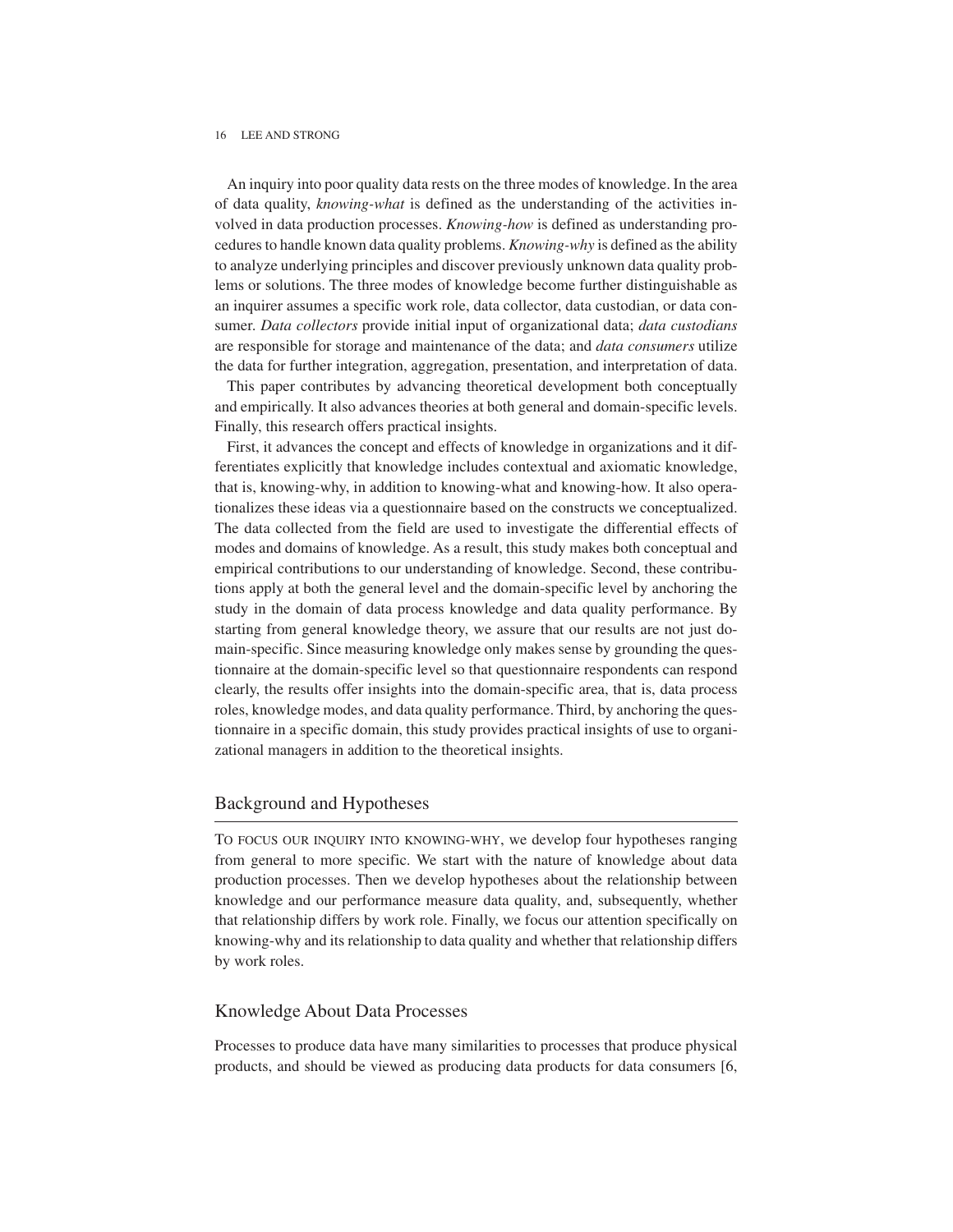An inquiry into poor quality data rests on the three modes of knowledge. In the area of data quality, *knowing-what* is defined as the understanding of the activities involved in data production processes. *Knowing-how* is defined as understanding procedures to handle known data quality problems. *Knowing-why* is defined as the ability to analyze underlying principles and discover previously unknown data quality problems or solutions. The three modes of knowledge become further distinguishable as an inquirer assumes a specific work role, data collector, data custodian, or data consumer. *Data collectors* provide initial input of organizational data; *data custodians* are responsible for storage and maintenance of the data; and *data consumers* utilize the data for further integration, aggregation, presentation, and interpretation of data.

This paper contributes by advancing theoretical development both conceptually and empirically. It also advances theories at both general and domain-specific levels. Finally, this research offers practical insights.

First, it advances the concept and effects of knowledge in organizations and it differentiates explicitly that knowledge includes contextual and axiomatic knowledge, that is, knowing-why, in addition to knowing-what and knowing-how. It also operationalizes these ideas via a questionnaire based on the constructs we conceptualized. The data collected from the field are used to investigate the differential effects of modes and domains of knowledge. As a result, this study makes both conceptual and empirical contributions to our understanding of knowledge. Second, these contributions apply at both the general level and the domain-specific level by anchoring the study in the domain of data process knowledge and data quality performance. By starting from general knowledge theory, we assure that our results are not just domain-specific. Since measuring knowledge only makes sense by grounding the questionnaire at the domain-specific level so that questionnaire respondents can respond clearly, the results offer insights into the domain-specific area, that is, data process roles, knowledge modes, and data quality performance. Third, by anchoring the questionnaire in a specific domain, this study provides practical insights of use to organizational managers in addition to the theoretical insights.

# Background and Hypotheses

TO FOCUS OUR INQUIRY INTO KNOWING-WHY, we develop four hypotheses ranging from general to more specific. We start with the nature of knowledge about data production processes. Then we develop hypotheses about the relationship between knowledge and our performance measure data quality, and, subsequently, whether that relationship differs by work role. Finally, we focus our attention specifically on knowing-why and its relationship to data quality and whether that relationship differs by work roles.

#### Knowledge About Data Processes

Processes to produce data have many similarities to processes that produce physical products, and should be viewed as producing data products for data consumers [6,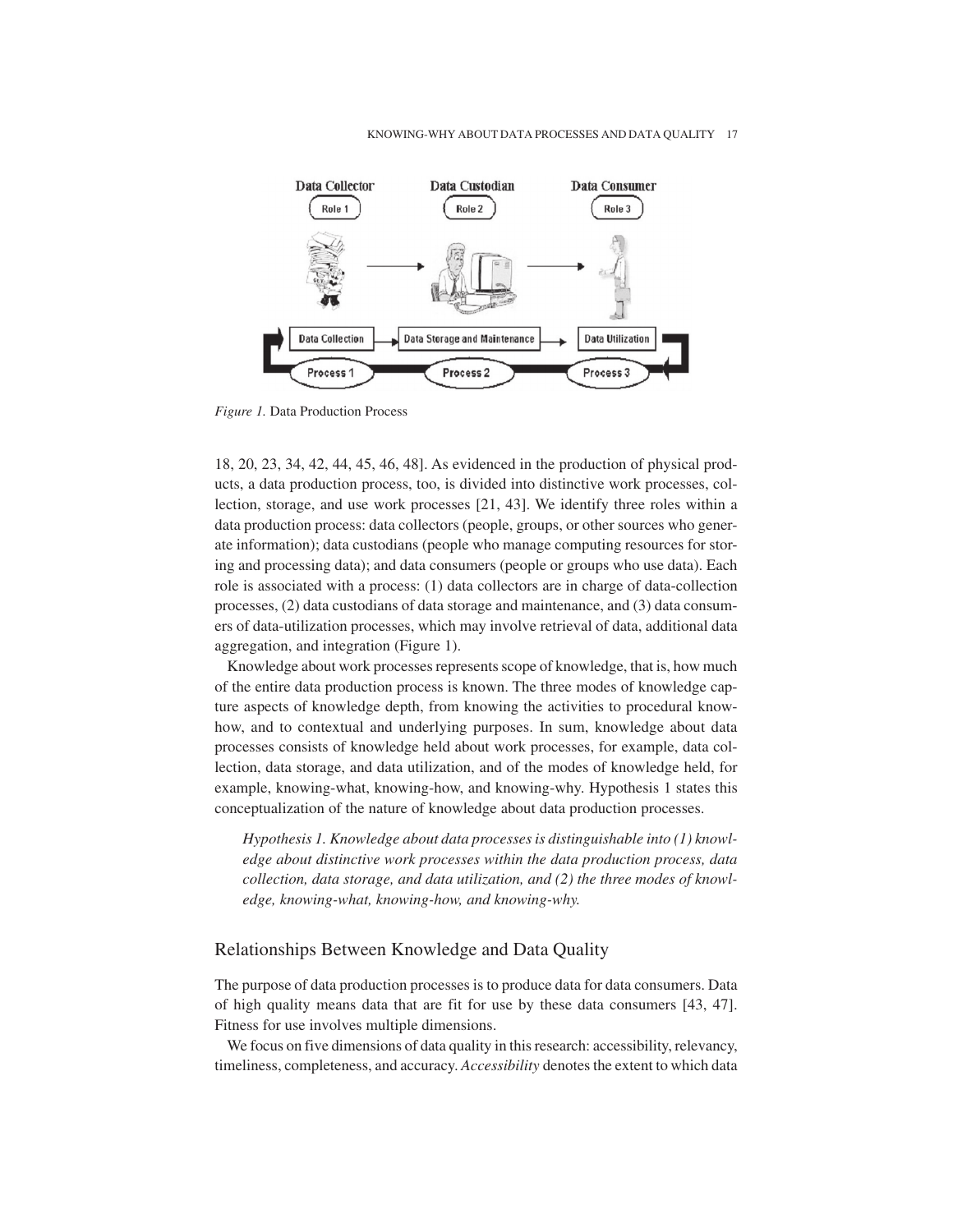#### KNOWING-WHY ABOUT DATA PROCESSES AND DATA QUALITY 17



*Figure 1.* Data Production Process

18, 20, 23, 34, 42, 44, 45, 46, 48]. As evidenced in the production of physical products, a data production process, too, is divided into distinctive work processes, collection, storage, and use work processes [21, 43]. We identify three roles within a data production process: data collectors (people, groups, or other sources who generate information); data custodians (people who manage computing resources for storing and processing data); and data consumers (people or groups who use data). Each role is associated with a process: (1) data collectors are in charge of data-collection processes, (2) data custodians of data storage and maintenance, and (3) data consumers of data-utilization processes, which may involve retrieval of data, additional data aggregation, and integration (Figure 1).

Knowledge about work processes represents scope of knowledge, that is, how much of the entire data production process is known. The three modes of knowledge capture aspects of knowledge depth, from knowing the activities to procedural knowhow, and to contextual and underlying purposes. In sum, knowledge about data processes consists of knowledge held about work processes, for example, data collection, data storage, and data utilization, and of the modes of knowledge held, for example, knowing-what, knowing-how, and knowing-why. Hypothesis 1 states this conceptualization of the nature of knowledge about data production processes.

*Hypothesis 1. Knowledge about data processes is distinguishable into (1) knowledge about distinctive work processes within the data production process, data collection, data storage, and data utilization, and (2) the three modes of knowledge, knowing-what, knowing-how, and knowing-why.*

# Relationships Between Knowledge and Data Quality

The purpose of data production processes is to produce data for data consumers. Data of high quality means data that are fit for use by these data consumers [43, 47]. Fitness for use involves multiple dimensions.

We focus on five dimensions of data quality in this research: accessibility, relevancy, timeliness, completeness, and accuracy. *Accessibility* denotes the extent to which data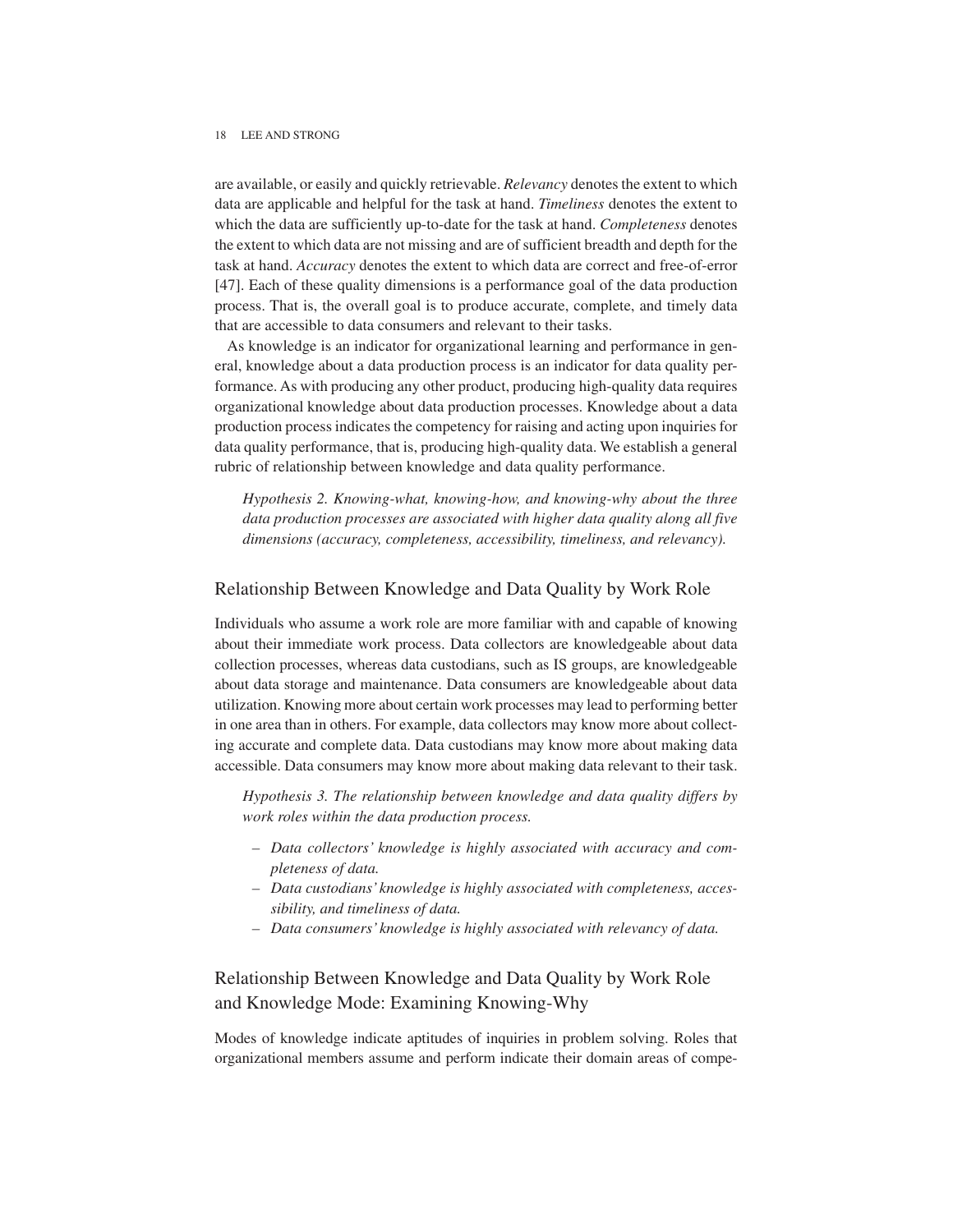are available, or easily and quickly retrievable. *Relevancy* denotes the extent to which data are applicable and helpful for the task at hand. *Timeliness* denotes the extent to which the data are sufficiently up-to-date for the task at hand. *Completeness* denotes the extent to which data are not missing and are of sufficient breadth and depth for the task at hand. *Accuracy* denotes the extent to which data are correct and free-of-error [47]. Each of these quality dimensions is a performance goal of the data production process. That is, the overall goal is to produce accurate, complete, and timely data that are accessible to data consumers and relevant to their tasks.

As knowledge is an indicator for organizational learning and performance in general, knowledge about a data production process is an indicator for data quality performance. As with producing any other product, producing high-quality data requires organizational knowledge about data production processes. Knowledge about a data production process indicates the competency for raising and acting upon inquiries for data quality performance, that is, producing high-quality data. We establish a general rubric of relationship between knowledge and data quality performance.

*Hypothesis 2. Knowing-what, knowing-how, and knowing-why about the three data production processes are associated with higher data quality along all five dimensions (accuracy, completeness, accessibility, timeliness, and relevancy).*

# Relationship Between Knowledge and Data Quality by Work Role

Individuals who assume a work role are more familiar with and capable of knowing about their immediate work process. Data collectors are knowledgeable about data collection processes, whereas data custodians, such as IS groups, are knowledgeable about data storage and maintenance. Data consumers are knowledgeable about data utilization. Knowing more about certain work processes may lead to performing better in one area than in others. For example, data collectors may know more about collecting accurate and complete data. Data custodians may know more about making data accessible. Data consumers may know more about making data relevant to their task.

*Hypothesis 3. The relationship between knowledge and data quality differs by work roles within the data production process.*

- *Data collectors' knowledge is highly associated with accuracy and completeness of data.*
- *Data custodians' knowledge is highly associated with completeness, accessibility, and timeliness of data.*
- *Data consumers' knowledge is highly associated with relevancy of data.*

# Relationship Between Knowledge and Data Quality by Work Role and Knowledge Mode: Examining Knowing-Why

Modes of knowledge indicate aptitudes of inquiries in problem solving. Roles that organizational members assume and perform indicate their domain areas of compe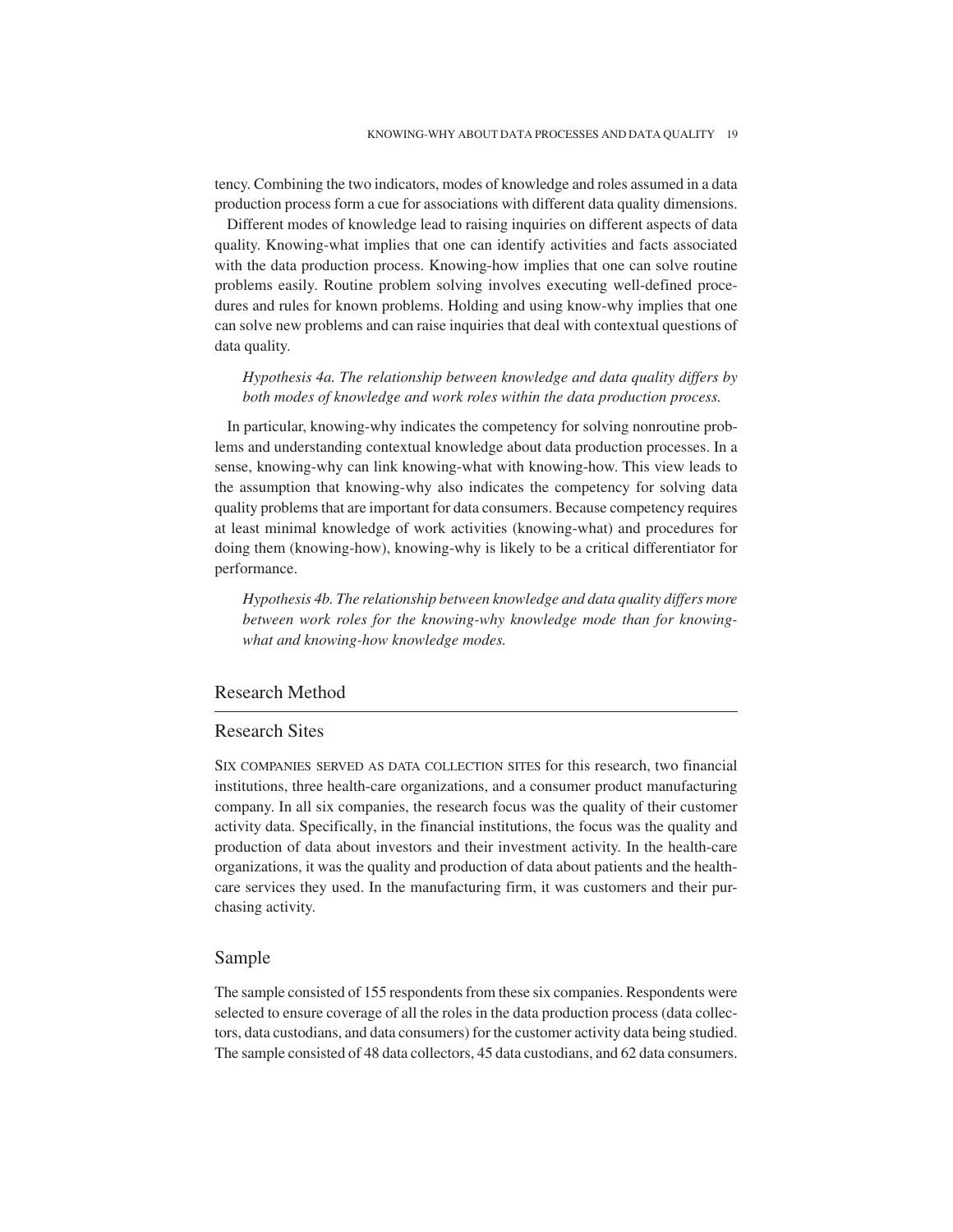tency. Combining the two indicators, modes of knowledge and roles assumed in a data production process form a cue for associations with different data quality dimensions.

Different modes of knowledge lead to raising inquiries on different aspects of data quality. Knowing-what implies that one can identify activities and facts associated with the data production process. Knowing-how implies that one can solve routine problems easily. Routine problem solving involves executing well-defined procedures and rules for known problems. Holding and using know-why implies that one can solve new problems and can raise inquiries that deal with contextual questions of data quality.

*Hypothesis 4a. The relationship between knowledge and data quality differs by both modes of knowledge and work roles within the data production process.*

In particular, knowing-why indicates the competency for solving nonroutine problems and understanding contextual knowledge about data production processes. In a sense, knowing-why can link knowing-what with knowing-how. This view leads to the assumption that knowing-why also indicates the competency for solving data quality problems that are important for data consumers. Because competency requires at least minimal knowledge of work activities (knowing-what) and procedures for doing them (knowing-how), knowing-why is likely to be a critical differentiator for performance.

*Hypothesis 4b. The relationship between knowledge and data quality differs more between work roles for the knowing-why knowledge mode than for knowingwhat and knowing-how knowledge modes.*

# Research Method

# Research Sites

SIX COMPANIES SERVED AS DATA COLLECTION SITES for this research, two financial institutions, three health-care organizations, and a consumer product manufacturing company. In all six companies, the research focus was the quality of their customer activity data. Specifically, in the financial institutions, the focus was the quality and production of data about investors and their investment activity. In the health-care organizations, it was the quality and production of data about patients and the healthcare services they used. In the manufacturing firm, it was customers and their purchasing activity.

# Sample

The sample consisted of 155 respondents from these six companies. Respondents were selected to ensure coverage of all the roles in the data production process (data collectors, data custodians, and data consumers) for the customer activity data being studied. The sample consisted of 48 data collectors, 45 data custodians, and 62 data consumers.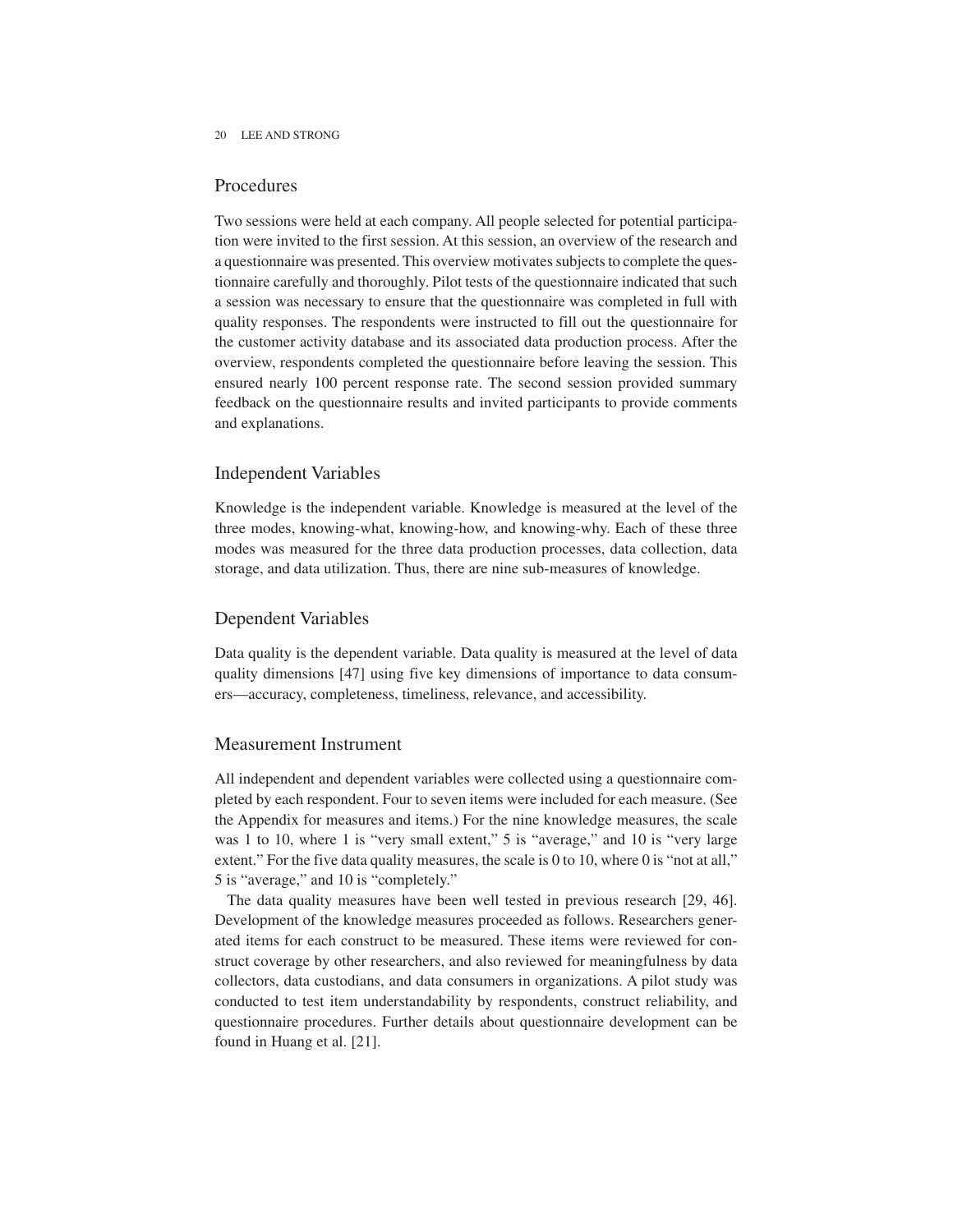#### Procedures

Two sessions were held at each company. All people selected for potential participation were invited to the first session. At this session, an overview of the research and a questionnaire was presented. This overview motivates subjects to complete the questionnaire carefully and thoroughly. Pilot tests of the questionnaire indicated that such a session was necessary to ensure that the questionnaire was completed in full with quality responses. The respondents were instructed to fill out the questionnaire for the customer activity database and its associated data production process. After the overview, respondents completed the questionnaire before leaving the session. This ensured nearly 100 percent response rate. The second session provided summary feedback on the questionnaire results and invited participants to provide comments and explanations.

# Independent Variables

Knowledge is the independent variable. Knowledge is measured at the level of the three modes, knowing-what, knowing-how, and knowing-why. Each of these three modes was measured for the three data production processes, data collection, data storage, and data utilization. Thus, there are nine sub-measures of knowledge.

#### Dependent Variables

Data quality is the dependent variable. Data quality is measured at the level of data quality dimensions [47] using five key dimensions of importance to data consumers—accuracy, completeness, timeliness, relevance, and accessibility.

#### Measurement Instrument

All independent and dependent variables were collected using a questionnaire completed by each respondent. Four to seven items were included for each measure. (See the Appendix for measures and items.) For the nine knowledge measures, the scale was 1 to 10, where 1 is "very small extent," 5 is "average," and 10 is "very large extent." For the five data quality measures, the scale is 0 to 10, where 0 is "not at all," 5 is "average," and 10 is "completely."

The data quality measures have been well tested in previous research [29, 46]. Development of the knowledge measures proceeded as follows. Researchers generated items for each construct to be measured. These items were reviewed for construct coverage by other researchers, and also reviewed for meaningfulness by data collectors, data custodians, and data consumers in organizations. A pilot study was conducted to test item understandability by respondents, construct reliability, and questionnaire procedures. Further details about questionnaire development can be found in Huang et al. [21].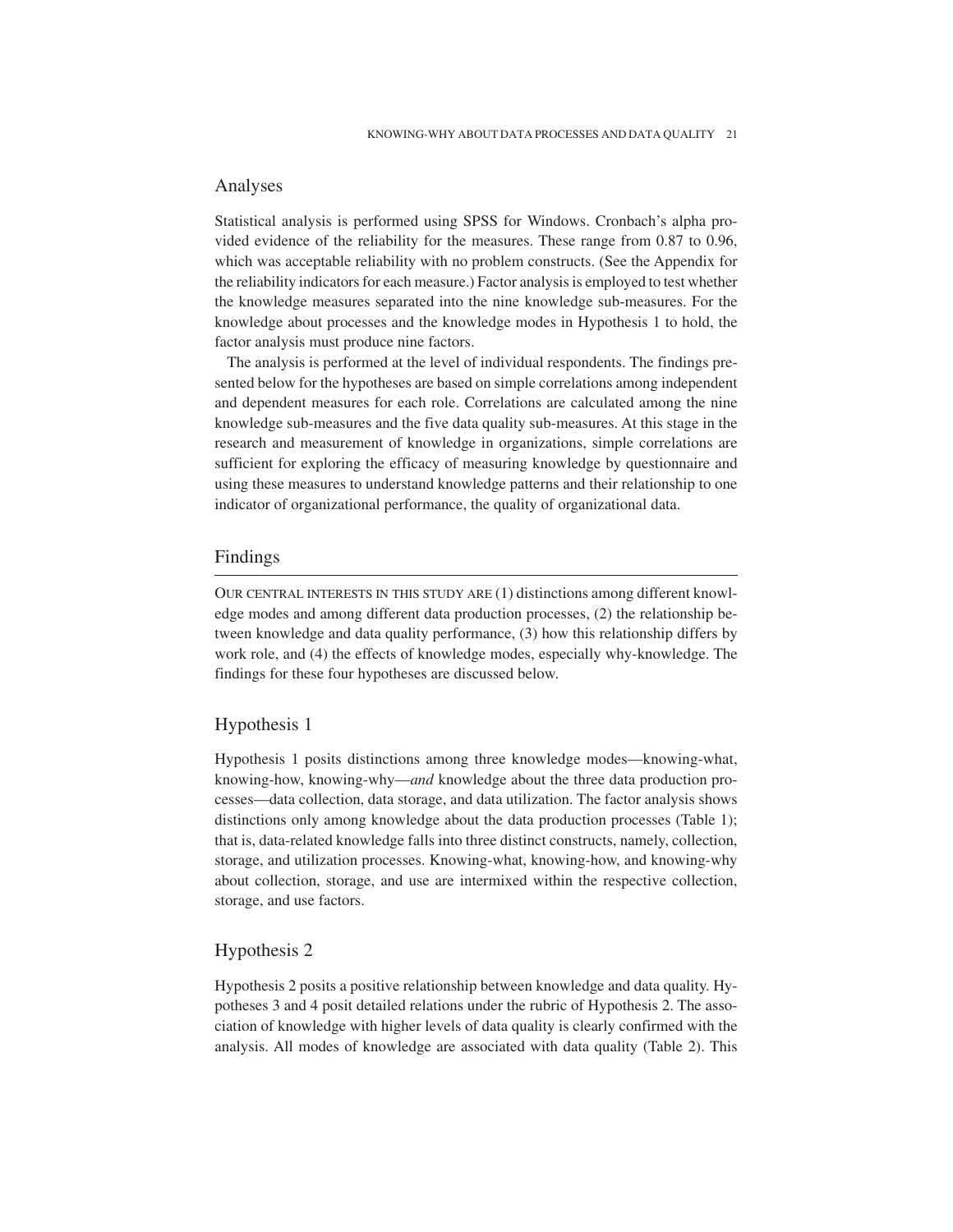# Analyses

Statistical analysis is performed using SPSS for Windows. Cronbach's alpha provided evidence of the reliability for the measures. These range from 0.87 to 0.96, which was acceptable reliability with no problem constructs. (See the Appendix for the reliability indicators for each measure.) Factor analysis is employed to test whether the knowledge measures separated into the nine knowledge sub-measures. For the knowledge about processes and the knowledge modes in Hypothesis 1 to hold, the factor analysis must produce nine factors.

The analysis is performed at the level of individual respondents. The findings presented below for the hypotheses are based on simple correlations among independent and dependent measures for each role. Correlations are calculated among the nine knowledge sub-measures and the five data quality sub-measures. At this stage in the research and measurement of knowledge in organizations, simple correlations are sufficient for exploring the efficacy of measuring knowledge by questionnaire and using these measures to understand knowledge patterns and their relationship to one indicator of organizational performance, the quality of organizational data.

#### Findings

OUR CENTRAL INTERESTS IN THIS STUDY ARE (1) distinctions among different knowledge modes and among different data production processes, (2) the relationship between knowledge and data quality performance, (3) how this relationship differs by work role, and (4) the effects of knowledge modes, especially why-knowledge. The findings for these four hypotheses are discussed below.

#### Hypothesis 1

Hypothesis 1 posits distinctions among three knowledge modes—knowing-what, knowing-how, knowing-why—*and* knowledge about the three data production processes—data collection, data storage, and data utilization. The factor analysis shows distinctions only among knowledge about the data production processes (Table 1); that is, data-related knowledge falls into three distinct constructs, namely, collection, storage, and utilization processes. Knowing-what, knowing-how, and knowing-why about collection, storage, and use are intermixed within the respective collection, storage, and use factors.

# Hypothesis 2

Hypothesis 2 posits a positive relationship between knowledge and data quality. Hypotheses 3 and 4 posit detailed relations under the rubric of Hypothesis 2. The association of knowledge with higher levels of data quality is clearly confirmed with the analysis. All modes of knowledge are associated with data quality (Table 2). This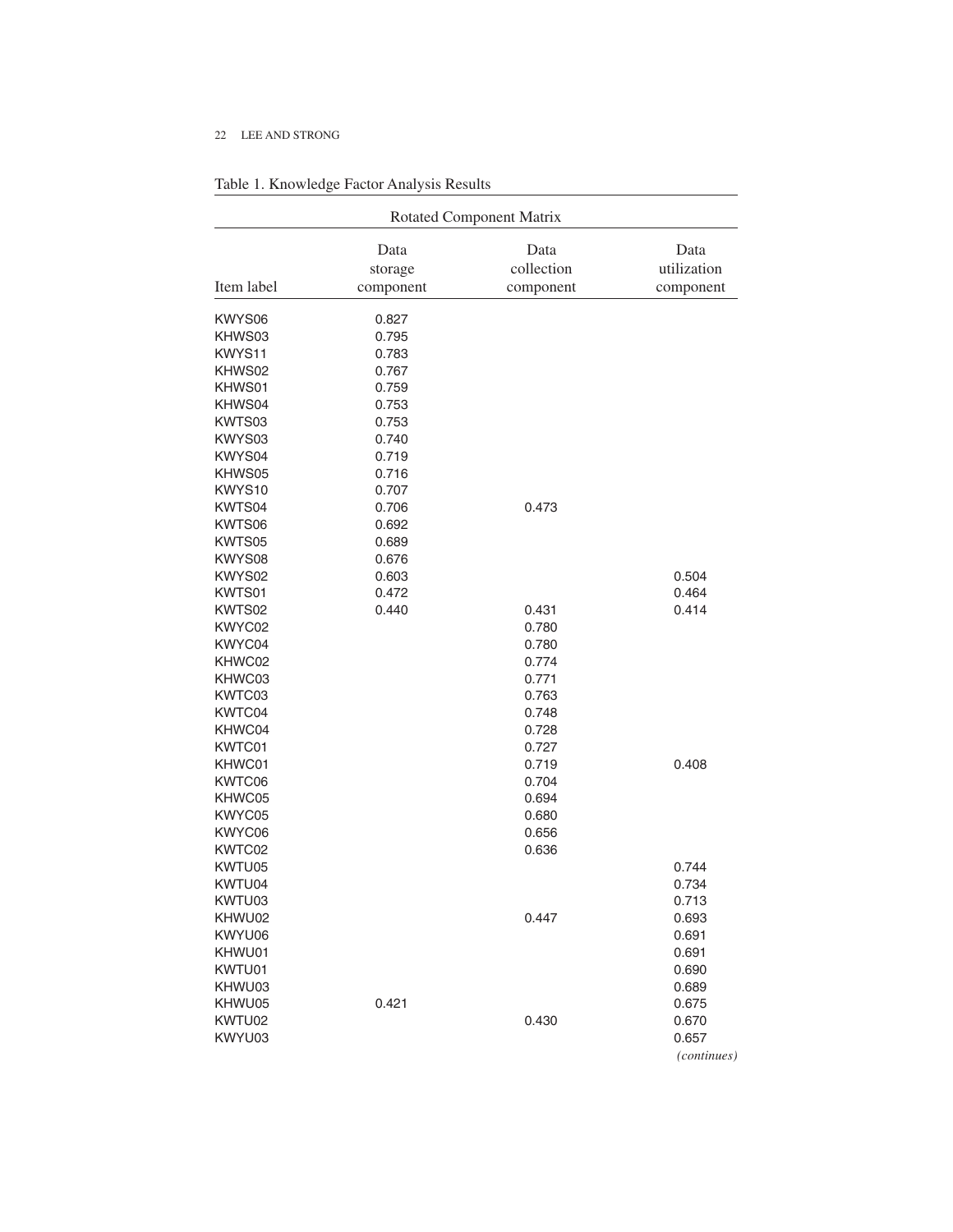|                  |                 | <b>Rotated Component Matrix</b> |                     |
|------------------|-----------------|---------------------------------|---------------------|
|                  | Data<br>storage | Data<br>collection              | Data<br>utilization |
| Item label       | component       | component                       | component           |
|                  |                 |                                 |                     |
| KWYS06           | 0.827           |                                 |                     |
| KHWS03           | 0.795           |                                 |                     |
| KWYS11<br>KHWS02 | 0.783           |                                 |                     |
|                  | 0.767           |                                 |                     |
| KHWS01           | 0.759           |                                 |                     |
| KHWS04           | 0.753           |                                 |                     |
| KWTS03           | 0.753           |                                 |                     |
| KWYS03           | 0.740           |                                 |                     |
| KWYS04           | 0.719           |                                 |                     |
| KHWS05           | 0.716           |                                 |                     |
| KWYS10           | 0.707           |                                 |                     |
| KWTS04           | 0.706           | 0.473                           |                     |
| KWTS06           | 0.692           |                                 |                     |
| KWTS05           | 0.689           |                                 |                     |
| KWYS08           | 0.676           |                                 |                     |
| KWYS02           | 0.603           |                                 | 0.504               |
| KWTS01           | 0.472           |                                 | 0.464               |
| KWTS02           | 0.440           | 0.431                           | 0.414               |
| KWYC02           |                 | 0.780                           |                     |
| KWYC04           |                 | 0.780                           |                     |
| KHWC02           |                 | 0.774                           |                     |
| KHWC03           |                 | 0.771                           |                     |
| KWTC03           |                 | 0.763                           |                     |
| KWTC04           |                 | 0.748                           |                     |
| KHWC04           |                 | 0.728                           |                     |
| KWTC01           |                 | 0.727                           |                     |
| KHWC01           |                 | 0.719                           | 0.408               |
| KWTC06           |                 | 0.704                           |                     |
| KHWC05           |                 | 0.694                           |                     |
| KWYC05           |                 | 0.680                           |                     |
| KWYC06           |                 | 0.656                           |                     |
| KWTC02           |                 | 0.636                           |                     |
| KWTU05           |                 |                                 | 0.744               |
| KWTU04           |                 |                                 | 0.734               |
| KWTU03           |                 |                                 | 0.713               |
| KHWU02           |                 | 0.447                           | 0.693               |
| KWYU06           |                 |                                 | 0.691               |
| KHWU01           |                 |                                 | 0.691               |
| KWTU01           |                 |                                 | 0.690               |
| KHWU03           |                 |                                 | 0.689               |
| KHWU05           | 0.421           |                                 | 0.675               |
| KWTU02           |                 | 0.430                           | 0.670               |
| KWYU03           |                 |                                 | 0.657               |
|                  |                 |                                 | <i>(continuar)</i>  |

# Table 1. Knowledge Factor Analysis Results

*(continues)*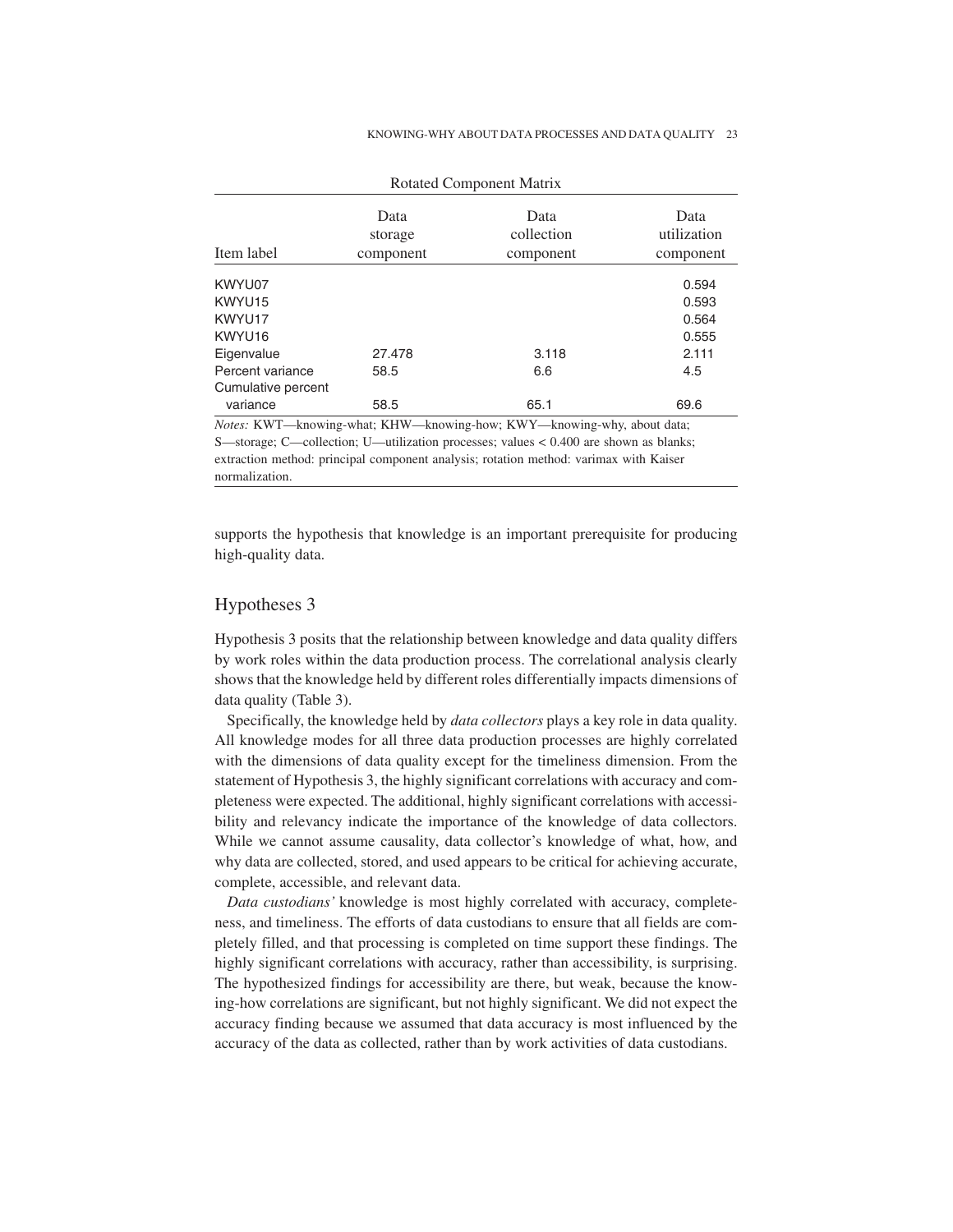|                    |           | <b>Rotated Component Matrix</b> |             |
|--------------------|-----------|---------------------------------|-------------|
|                    | Data      | Data                            | Data        |
|                    | storage   | collection                      | utilization |
| Item label         | component | component                       | component   |
| KWYU07             |           |                                 | 0.594       |
| KWYU15             |           |                                 | 0.593       |
| KWYU17             |           |                                 | 0.564       |
| KWYU16             |           |                                 | 0.555       |
| Eigenvalue         | 27.478    | 3.118                           | 2.111       |
| Percent variance   | 58.5      | 6.6                             | 4.5         |
| Cumulative percent |           |                                 |             |
| variance           | 58.5      | 65.1                            | 69.6        |

*Notes:* KWT—knowing-what; KHW—knowing-how; KWY—knowing-why, about data; S—storage; C—collection; U—utilization processes; values < 0.400 are shown as blanks; extraction method: principal component analysis; rotation method: varimax with Kaiser

normalization.

supports the hypothesis that knowledge is an important prerequisite for producing high-quality data.

#### Hypotheses 3

Hypothesis 3 posits that the relationship between knowledge and data quality differs by work roles within the data production process. The correlational analysis clearly shows that the knowledge held by different roles differentially impacts dimensions of data quality (Table 3).

Specifically, the knowledge held by *data collectors* plays a key role in data quality. All knowledge modes for all three data production processes are highly correlated with the dimensions of data quality except for the timeliness dimension. From the statement of Hypothesis 3, the highly significant correlations with accuracy and completeness were expected. The additional, highly significant correlations with accessibility and relevancy indicate the importance of the knowledge of data collectors. While we cannot assume causality, data collector's knowledge of what, how, and why data are collected, stored, and used appears to be critical for achieving accurate, complete, accessible, and relevant data.

*Data custodians'* knowledge is most highly correlated with accuracy, completeness, and timeliness. The efforts of data custodians to ensure that all fields are completely filled, and that processing is completed on time support these findings. The highly significant correlations with accuracy, rather than accessibility, is surprising. The hypothesized findings for accessibility are there, but weak, because the knowing-how correlations are significant, but not highly significant. We did not expect the accuracy finding because we assumed that data accuracy is most influenced by the accuracy of the data as collected, rather than by work activities of data custodians.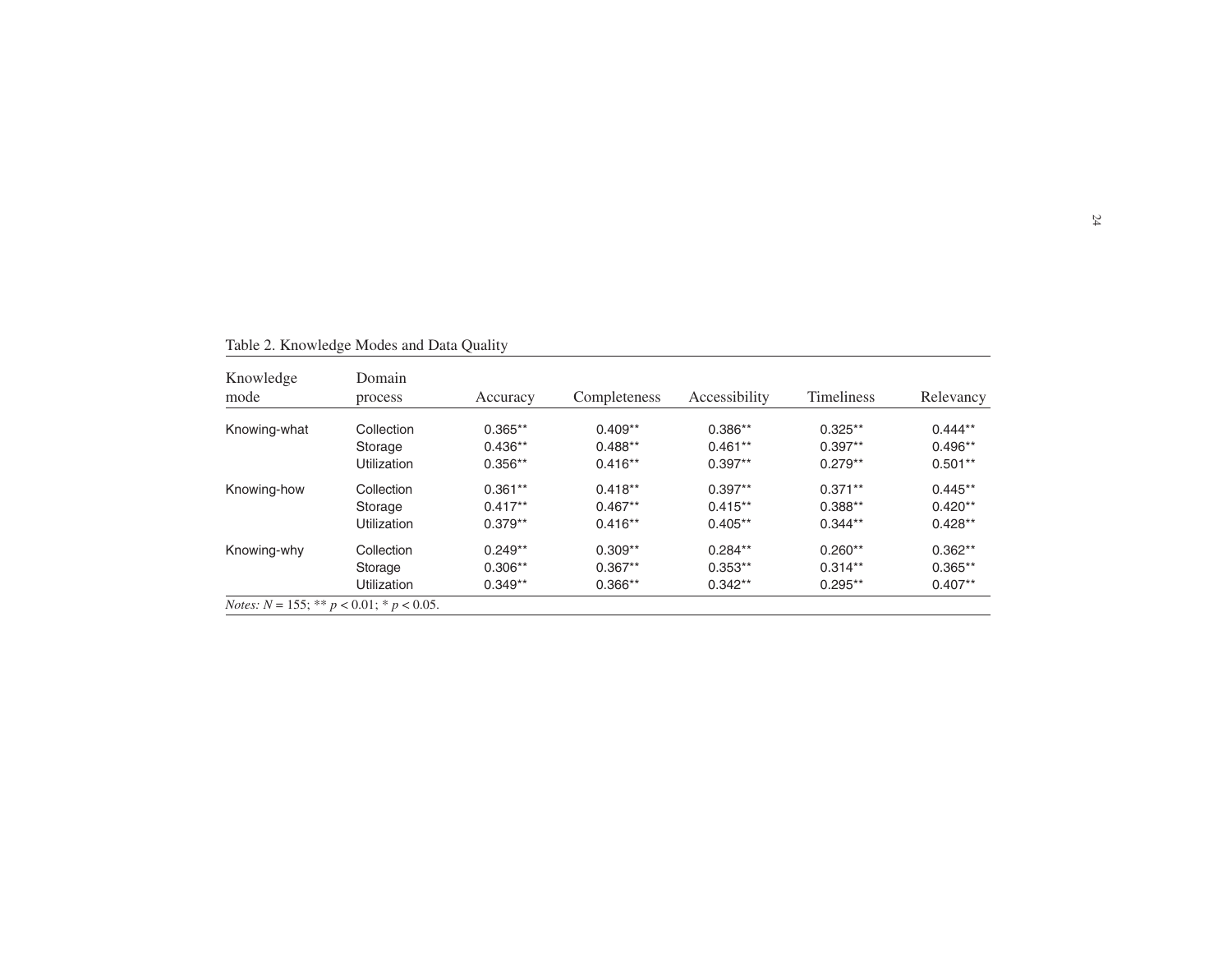| Knowledge<br>mode | Domain<br>process                                        | Accuracy  | Completeness | Accessibility | <b>Timeliness</b> | Relevancy |
|-------------------|----------------------------------------------------------|-----------|--------------|---------------|-------------------|-----------|
| Knowing-what      | Collection                                               | $0.365**$ | $0.409**$    | $0.386**$     | $0.325**$         | $0.444**$ |
|                   | Storage                                                  | $0.436**$ | $0.488**$    | $0.461**$     | $0.397**$         | $0.496**$ |
|                   | Utilization                                              | $0.356**$ | $0.416**$    | $0.397**$     | $0.279**$         | $0.501**$ |
| Knowing-how       | Collection                                               | $0.361**$ | $0.418**$    | $0.397**$     | $0.371**$         | $0.445**$ |
|                   | Storage                                                  | $0.417**$ | $0.467**$    | $0.415**$     | $0.388**$         | $0.420**$ |
|                   | Utilization                                              | $0.379**$ | $0.416**$    | $0.405**$     | $0.344**$         | $0.428**$ |
| Knowing-why       | Collection                                               | $0.249**$ | $0.309**$    | $0.284**$     | $0.260**$         | $0.362**$ |
|                   | Storage                                                  | $0.306**$ | $0.367**$    | $0.353**$     | $0.314**$         | $0.365**$ |
|                   | Utilization                                              | $0.349**$ | $0.366**$    | $0.342**$     | $0.295**$         | $0.407**$ |
|                   | <i>Notes:</i> $N = 155$ ; ** $p < 0.01$ ; * $p < 0.05$ . |           |              |               |                   |           |

 $\begin{array}{l}\n\text{Table 2. Knowledge Models and Data Quality}\n\end{array}$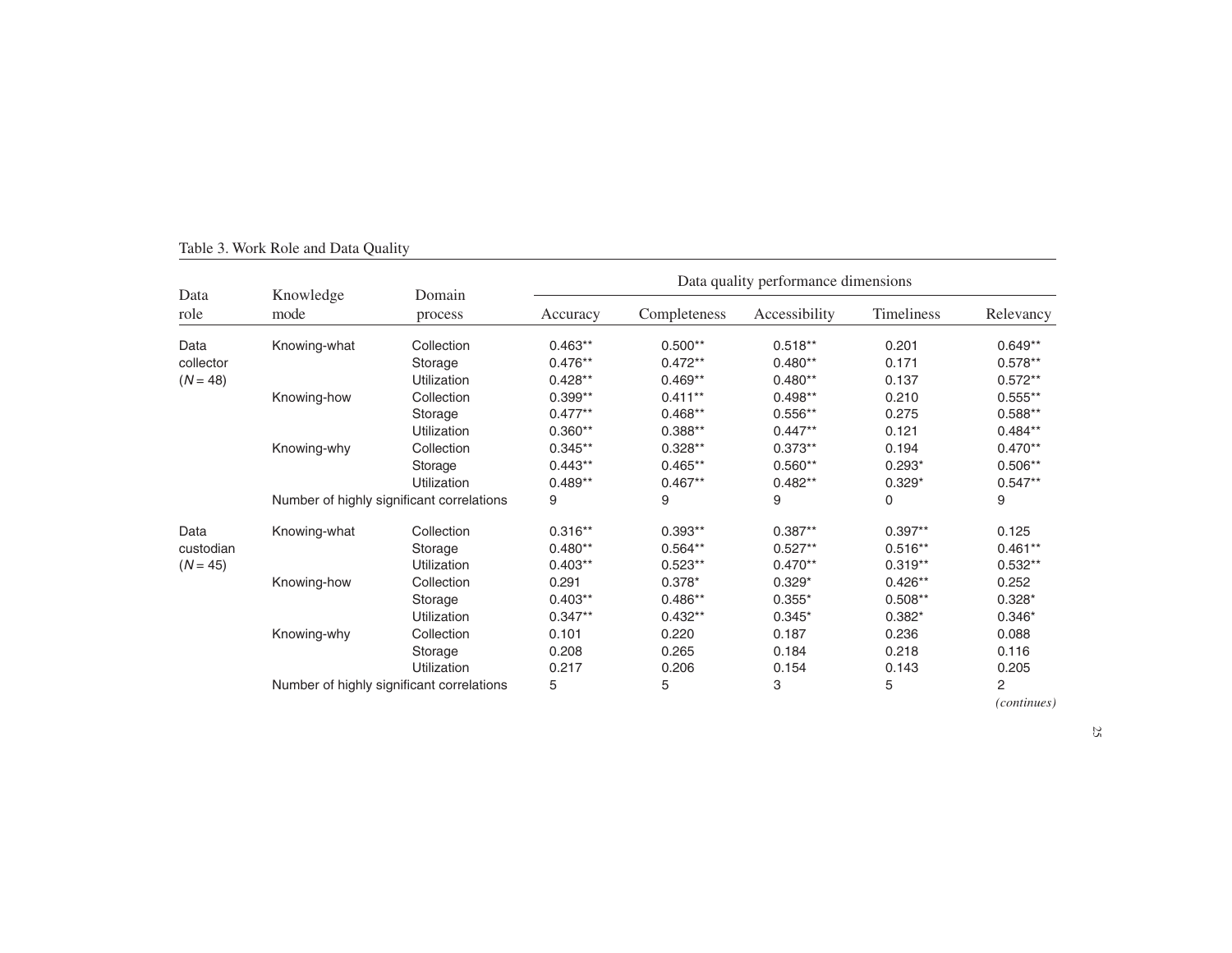|              |                   |                                           | Data quality performance dimensions |              |               |            |                |  |
|--------------|-------------------|-------------------------------------------|-------------------------------------|--------------|---------------|------------|----------------|--|
| Data<br>role | Knowledge<br>mode | Domain<br>process                         | Accuracy                            | Completeness | Accessibility | Timeliness | Relevancy      |  |
| Data         | Knowing-what      | Collection                                | $0.463**$                           | $0.500**$    | $0.518**$     | 0.201      | $0.649**$      |  |
| collector    |                   | Storage                                   | $0.476**$                           | $0.472**$    | $0.480**$     | 0.171      | $0.578**$      |  |
| $(N = 48)$   |                   | Utilization                               | $0.428**$                           | $0.469**$    | $0.480**$     | 0.137      | $0.572**$      |  |
|              | Knowing-how       | Collection                                | $0.399**$                           | $0.411**$    | $0.498**$     | 0.210      | $0.555**$      |  |
|              |                   | Storage                                   | $0.477**$                           | $0.468**$    | $0.556**$     | 0.275      | $0.588**$      |  |
|              |                   | Utilization                               | $0.360**$                           | $0.388**$    | $0.447**$     | 0.121      | $0.484**$      |  |
|              | Knowing-why       | Collection                                | $0.345**$                           | $0.328**$    | $0.373**$     | 0.194      | $0.470**$      |  |
|              |                   | Storage                                   | $0.443**$                           | $0.465**$    | $0.560**$     | $0.293*$   | $0.506**$      |  |
|              |                   | Utilization                               | $0.489**$                           | $0.467**$    | $0.482**$     | $0.329*$   | $0.547**$      |  |
|              |                   | Number of highly significant correlations | 9                                   | 9            | 9             | 0          | 9              |  |
| Data         | Knowing-what      | Collection                                | $0.316**$                           | $0.393**$    | $0.387**$     | $0.397**$  | 0.125          |  |
| custodian    |                   | Storage                                   | $0.480**$                           | $0.564**$    | $0.527**$     | $0.516**$  | $0.461**$      |  |
| $(N = 45)$   |                   | Utilization                               | $0.403**$                           | $0.523**$    | $0.470**$     | $0.319**$  | $0.532**$      |  |
|              | Knowing-how       | Collection                                | 0.291                               | $0.378*$     | $0.329*$      | $0.426**$  | 0.252          |  |
|              |                   | Storage                                   | $0.403**$                           | $0.486**$    | $0.355*$      | $0.508**$  | $0.328*$       |  |
|              |                   | Utilization                               | $0.347**$                           | $0.432**$    | $0.345*$      | $0.382*$   | $0.346*$       |  |
|              | Knowing-why       | Collection                                | 0.101                               | 0.220        | 0.187         | 0.236      | 0.088          |  |
|              |                   | Storage                                   | 0.208                               | 0.265        | 0.184         | 0.218      | 0.116          |  |
|              |                   | Utilization                               | 0.217                               | 0.206        | 0.154         | 0.143      | 0.205          |  |
|              |                   | Number of highly significant correlations | 5                                   | 5            | 3             | 5          | $\overline{c}$ |  |
|              |                   |                                           |                                     |              |               |            | (continues)    |  |

# Table 3. Work Role and Data Quality

 $\frac{25}{25}$  $25\,$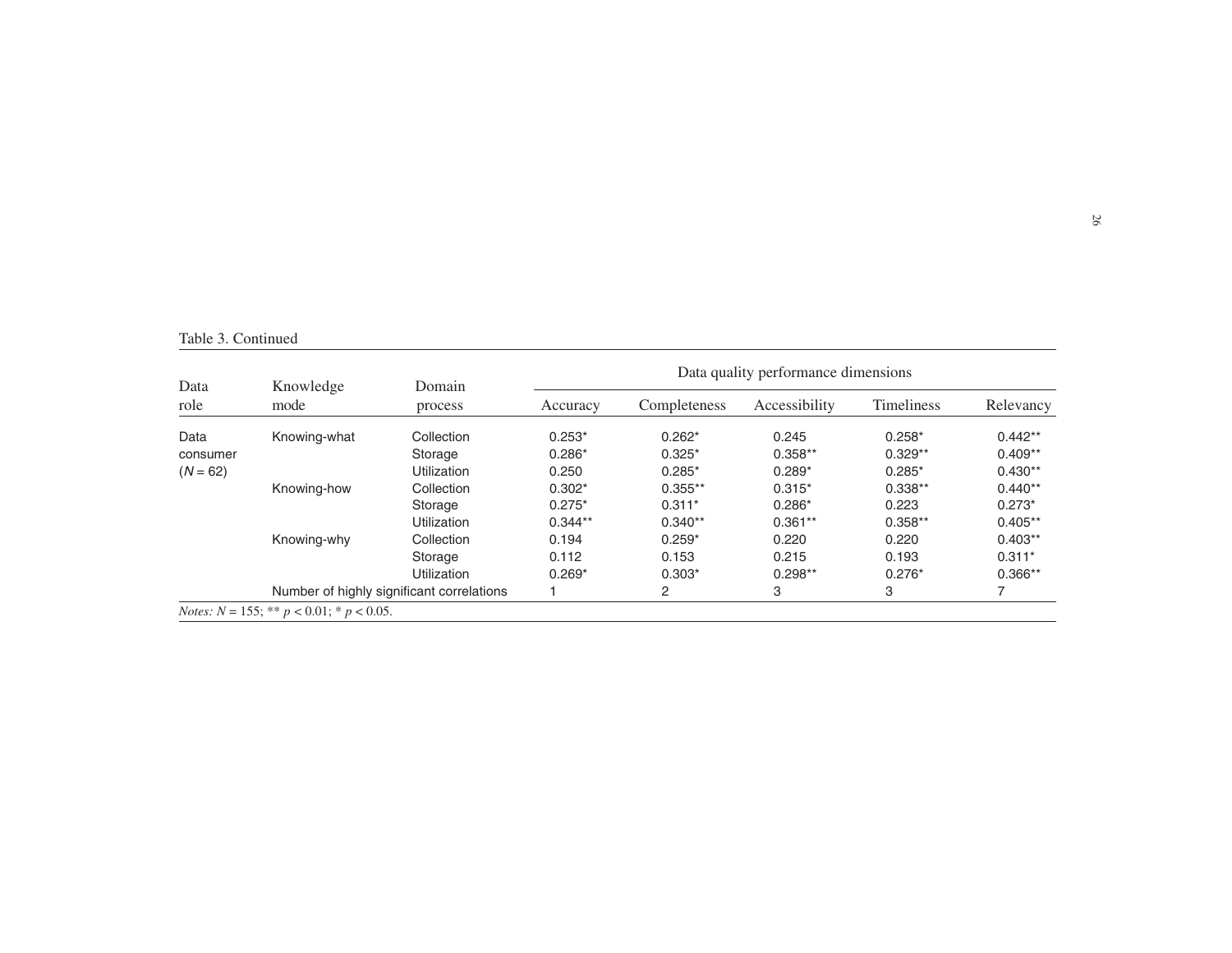25 Legach<br>26 Strong Table 3. Continued Table 3. Continued

|              |                                                          |                                           | Data quality performance dimensions |              |               |                   |           |  |
|--------------|----------------------------------------------------------|-------------------------------------------|-------------------------------------|--------------|---------------|-------------------|-----------|--|
| Data<br>role | Knowledge<br>mode                                        | Domain<br>process                         | Accuracy                            | Completeness | Accessibility | <b>Timeliness</b> | Relevancy |  |
| Data         | Knowing-what                                             | Collection                                | $0.253*$                            | $0.262*$     | 0.245         | $0.258*$          | $0.442**$ |  |
| consumer     |                                                          | Storage                                   | $0.286*$                            | $0.325*$     | $0.358**$     | $0.329**$         | $0.409**$ |  |
| $(N = 62)$   |                                                          | Utilization                               | 0.250                               | $0.285*$     | $0.289*$      | $0.285*$          | $0.430**$ |  |
|              | Knowing-how                                              | Collection                                | $0.302*$                            | $0.355**$    | $0.315*$      | $0.338**$         | $0.440**$ |  |
|              |                                                          | Storage                                   | $0.275*$                            | $0.311*$     | $0.286*$      | 0.223             | $0.273*$  |  |
|              |                                                          | Utilization                               | $0.344**$                           | $0.340**$    | $0.361**$     | $0.358**$         | $0.405**$ |  |
|              | Knowing-why                                              | Collection                                | 0.194                               | $0.259*$     | 0.220         | 0.220             | $0.403**$ |  |
|              |                                                          | Storage                                   | 0.112                               | 0.153        | 0.215         | 0.193             | $0.311*$  |  |
|              |                                                          | Utilization                               | $0.269*$                            | $0.303*$     | $0.298**$     | $0.276*$          | $0.366**$ |  |
|              |                                                          | Number of highly significant correlations |                                     | 2            | 3             | 3                 | 7         |  |
|              | <i>Notes:</i> $N = 155$ ; ** $p < 0.01$ ; * $p < 0.05$ . |                                           |                                     |              |               |                   |           |  |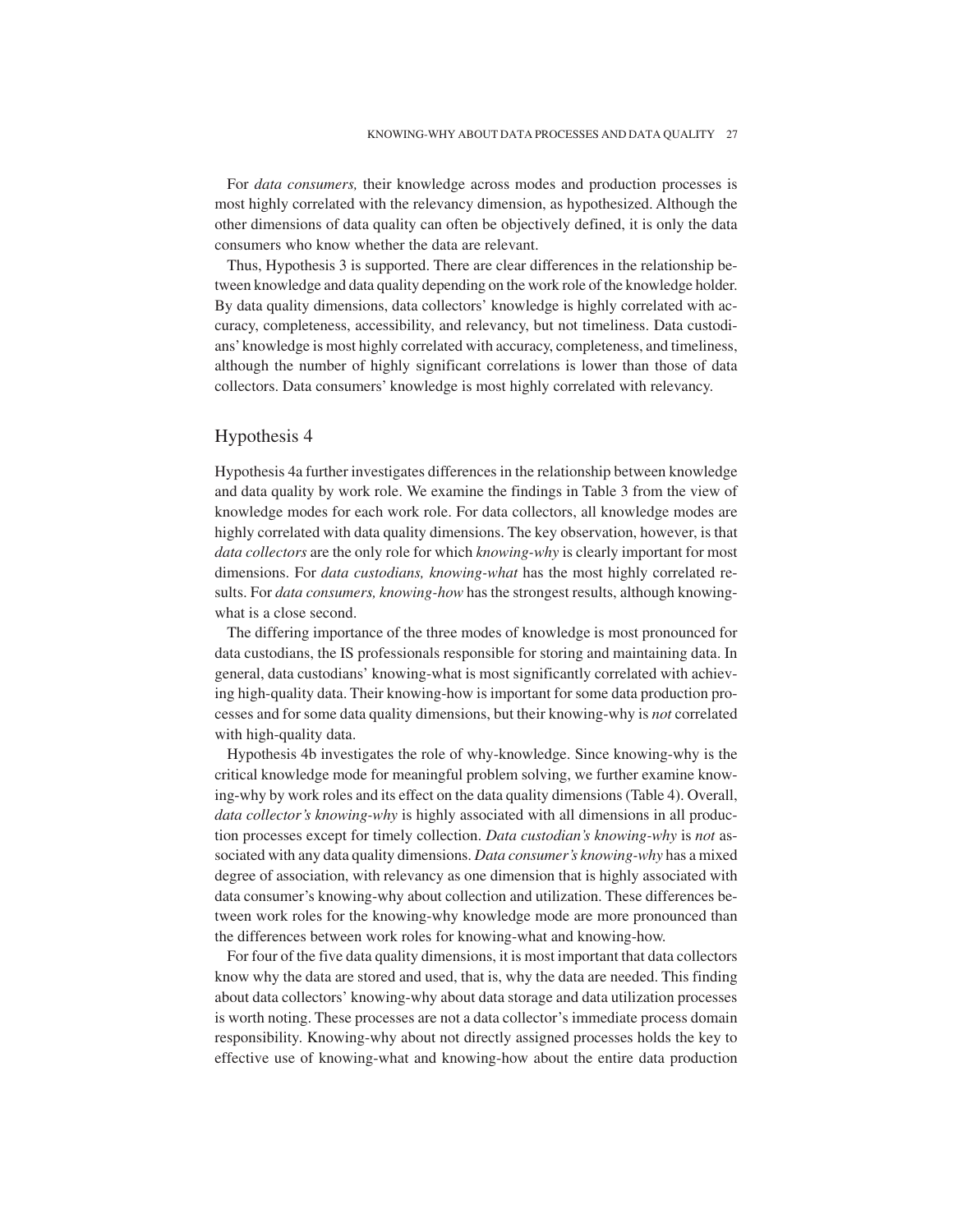For *data consumers,* their knowledge across modes and production processes is most highly correlated with the relevancy dimension, as hypothesized. Although the other dimensions of data quality can often be objectively defined, it is only the data consumers who know whether the data are relevant.

Thus, Hypothesis 3 is supported. There are clear differences in the relationship between knowledge and data quality depending on the work role of the knowledge holder. By data quality dimensions, data collectors' knowledge is highly correlated with accuracy, completeness, accessibility, and relevancy, but not timeliness. Data custodians' knowledge is most highly correlated with accuracy, completeness, and timeliness, although the number of highly significant correlations is lower than those of data collectors. Data consumers' knowledge is most highly correlated with relevancy.

#### Hypothesis 4

Hypothesis 4a further investigates differences in the relationship between knowledge and data quality by work role. We examine the findings in Table 3 from the view of knowledge modes for each work role. For data collectors, all knowledge modes are highly correlated with data quality dimensions. The key observation, however, is that *data collectors* are the only role for which *knowing-why* is clearly important for most dimensions. For *data custodians, knowing-what* has the most highly correlated results. For *data consumers, knowing-how* has the strongest results, although knowingwhat is a close second.

The differing importance of the three modes of knowledge is most pronounced for data custodians, the IS professionals responsible for storing and maintaining data. In general, data custodians' knowing-what is most significantly correlated with achieving high-quality data. Their knowing-how is important for some data production processes and for some data quality dimensions, but their knowing-why is *not* correlated with high-quality data.

Hypothesis 4b investigates the role of why-knowledge. Since knowing-why is the critical knowledge mode for meaningful problem solving, we further examine knowing-why by work roles and its effect on the data quality dimensions (Table 4). Overall, *data collector's knowing-why* is highly associated with all dimensions in all production processes except for timely collection. *Data custodian's knowing-why* is *not* associated with any data quality dimensions. *Data consumer's knowing-why* has a mixed degree of association, with relevancy as one dimension that is highly associated with data consumer's knowing-why about collection and utilization. These differences between work roles for the knowing-why knowledge mode are more pronounced than the differences between work roles for knowing-what and knowing-how.

For four of the five data quality dimensions, it is most important that data collectors know why the data are stored and used, that is, why the data are needed. This finding about data collectors' knowing-why about data storage and data utilization processes is worth noting. These processes are not a data collector's immediate process domain responsibility. Knowing-why about not directly assigned processes holds the key to effective use of knowing-what and knowing-how about the entire data production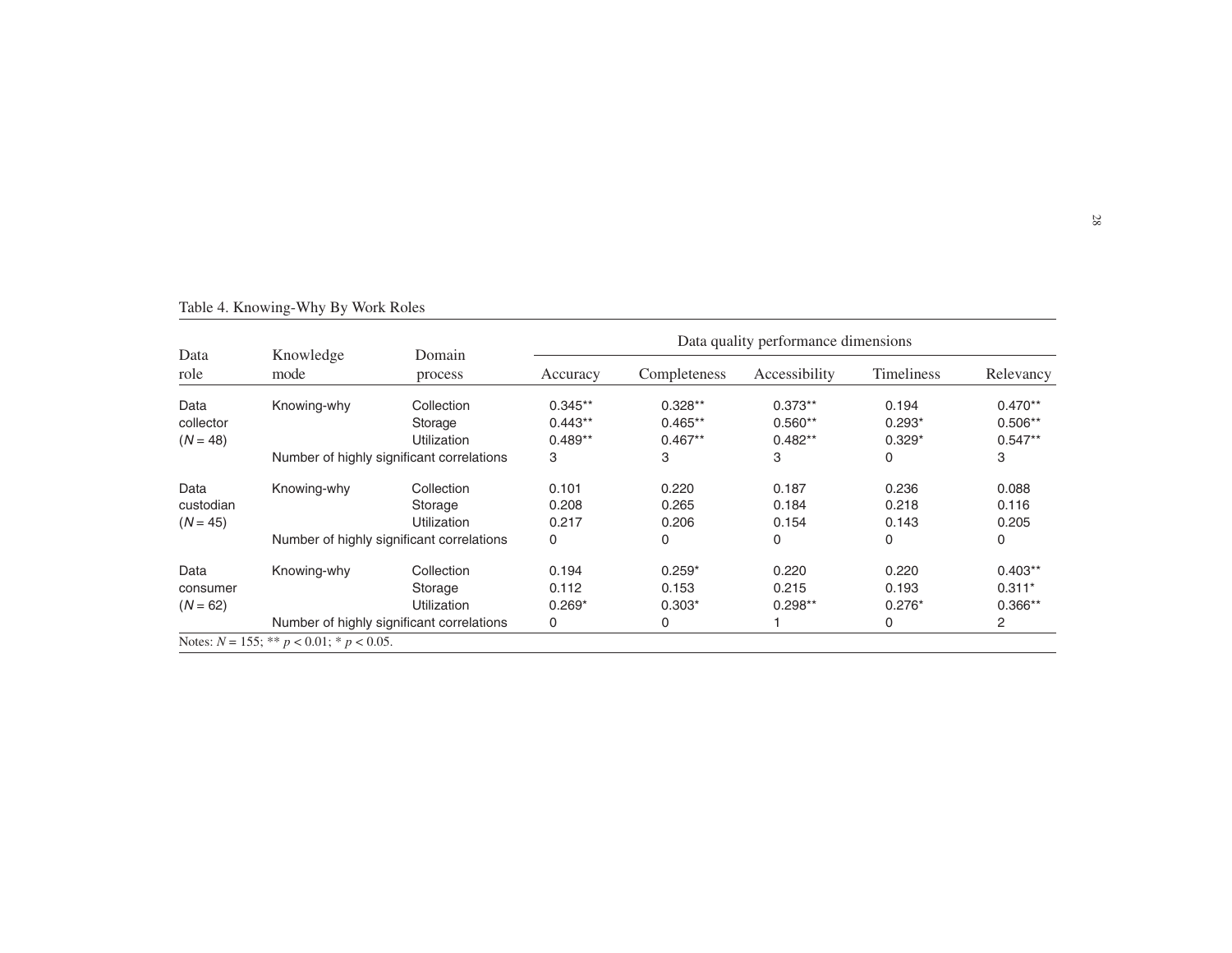|              |                   | Table 4. Knowing-Why By Work Roles        |                                     |              |               |            |           |  |  |  |
|--------------|-------------------|-------------------------------------------|-------------------------------------|--------------|---------------|------------|-----------|--|--|--|
| Data<br>role | Knowledge<br>mode |                                           | Data quality performance dimensions |              |               |            |           |  |  |  |
|              |                   | Domain<br>process                         | Accuracy                            | Completeness | Accessibility | Timeliness | Relevancy |  |  |  |
| Data         | Knowing-why       | Collection                                | $0.345**$                           | $0.328**$    | $0.373**$     | 0.194      | $0.470**$ |  |  |  |
| collector    |                   | Storage                                   | $0.443**$                           | $0.465**$    | $0.560**$     | $0.293*$   | $0.506**$ |  |  |  |
| $(N = 48)$   |                   | Utilization                               | $0.489**$                           | $0.467**$    | $0.482**$     | $0.329*$   | $0.547**$ |  |  |  |
|              |                   | Number of highly significant correlations | 3                                   | 3            | 3             | 0          | 3         |  |  |  |
| Data         | Knowing-why       | Collection                                | 0.101                               | 0.220        | 0.187         | 0.236      | 0.088     |  |  |  |
| custodian    |                   | Storage                                   | 0.208                               | 0.265        | 0.184         | 0.218      | 0.116     |  |  |  |
| $(N = 45)$   |                   | Utilization                               | 0.217                               | 0.206        | 0.154         | 0.143      | 0.205     |  |  |  |
|              |                   | Number of highly significant correlations | 0                                   | 0            | 0             | 0          | 0         |  |  |  |
| Data         | Knowing-why       | Collection                                | 0.194                               | $0.259*$     | 0.220         | 0.220      | $0.403**$ |  |  |  |
| consumer     |                   | Storage                                   | 0.112                               | 0.153        | 0.215         | 0.193      | $0.311*$  |  |  |  |
| $(N = 62)$   |                   | Utilization                               | $0.269*$                            | $0.303*$     | $0.298**$     | $0.276*$   | $0.366**$ |  |  |  |
|              |                   | Number of highly significant correlations | 0                                   | 0            |               | 0          | 2         |  |  |  |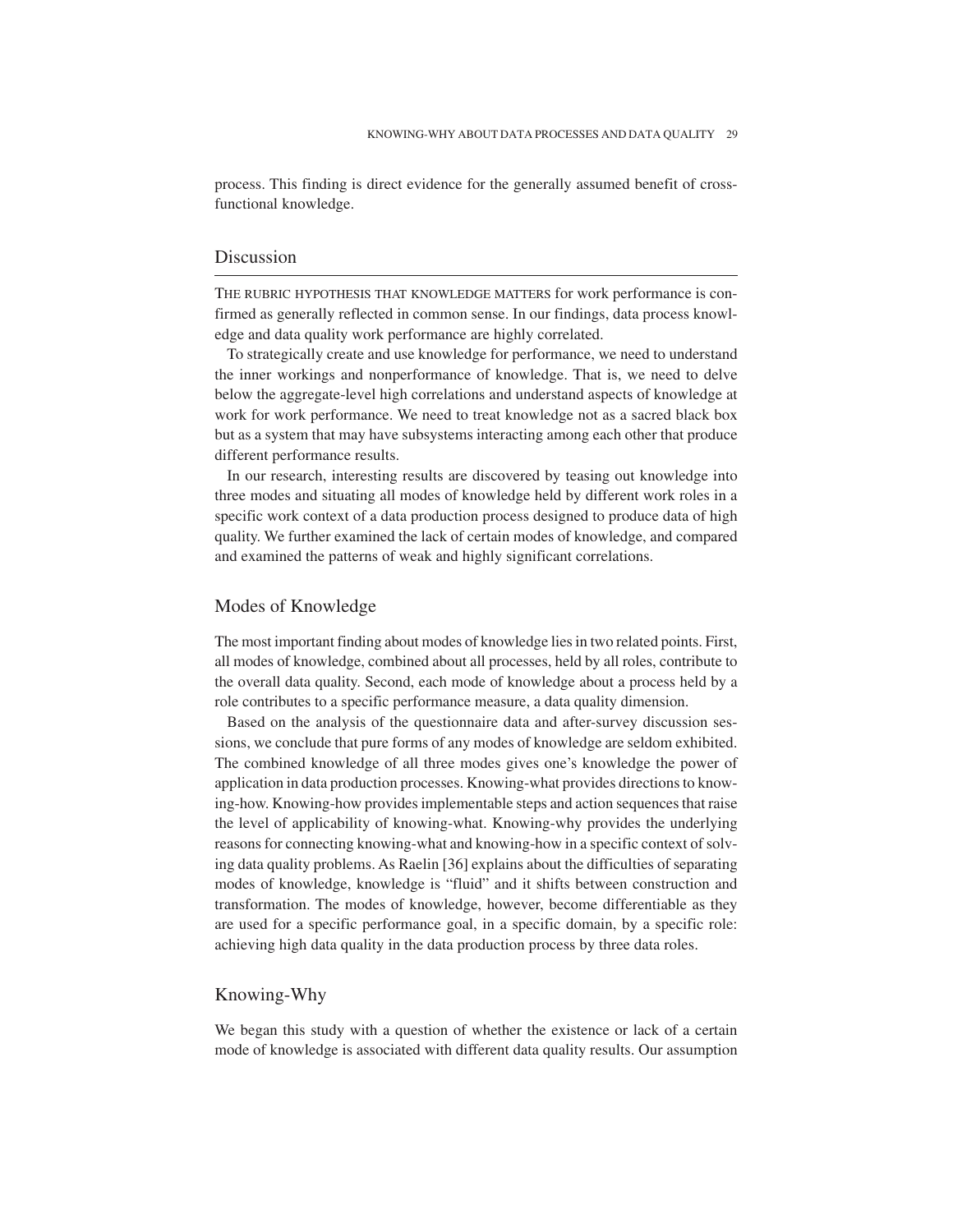process. This finding is direct evidence for the generally assumed benefit of crossfunctional knowledge.

#### Discussion

THE RUBRIC HYPOTHESIS THAT KNOWLEDGE MATTERS for work performance is confirmed as generally reflected in common sense. In our findings, data process knowledge and data quality work performance are highly correlated.

To strategically create and use knowledge for performance, we need to understand the inner workings and nonperformance of knowledge. That is, we need to delve below the aggregate-level high correlations and understand aspects of knowledge at work for work performance. We need to treat knowledge not as a sacred black box but as a system that may have subsystems interacting among each other that produce different performance results.

In our research, interesting results are discovered by teasing out knowledge into three modes and situating all modes of knowledge held by different work roles in a specific work context of a data production process designed to produce data of high quality. We further examined the lack of certain modes of knowledge, and compared and examined the patterns of weak and highly significant correlations.

# Modes of Knowledge

The most important finding about modes of knowledge lies in two related points. First, all modes of knowledge, combined about all processes, held by all roles, contribute to the overall data quality. Second, each mode of knowledge about a process held by a role contributes to a specific performance measure, a data quality dimension.

Based on the analysis of the questionnaire data and after-survey discussion sessions, we conclude that pure forms of any modes of knowledge are seldom exhibited. The combined knowledge of all three modes gives one's knowledge the power of application in data production processes. Knowing-what provides directions to knowing-how. Knowing-how provides implementable steps and action sequences that raise the level of applicability of knowing-what. Knowing-why provides the underlying reasons for connecting knowing-what and knowing-how in a specific context of solving data quality problems. As Raelin [36] explains about the difficulties of separating modes of knowledge, knowledge is "fluid" and it shifts between construction and transformation. The modes of knowledge, however, become differentiable as they are used for a specific performance goal, in a specific domain, by a specific role: achieving high data quality in the data production process by three data roles.

#### Knowing-Why

We began this study with a question of whether the existence or lack of a certain mode of knowledge is associated with different data quality results. Our assumption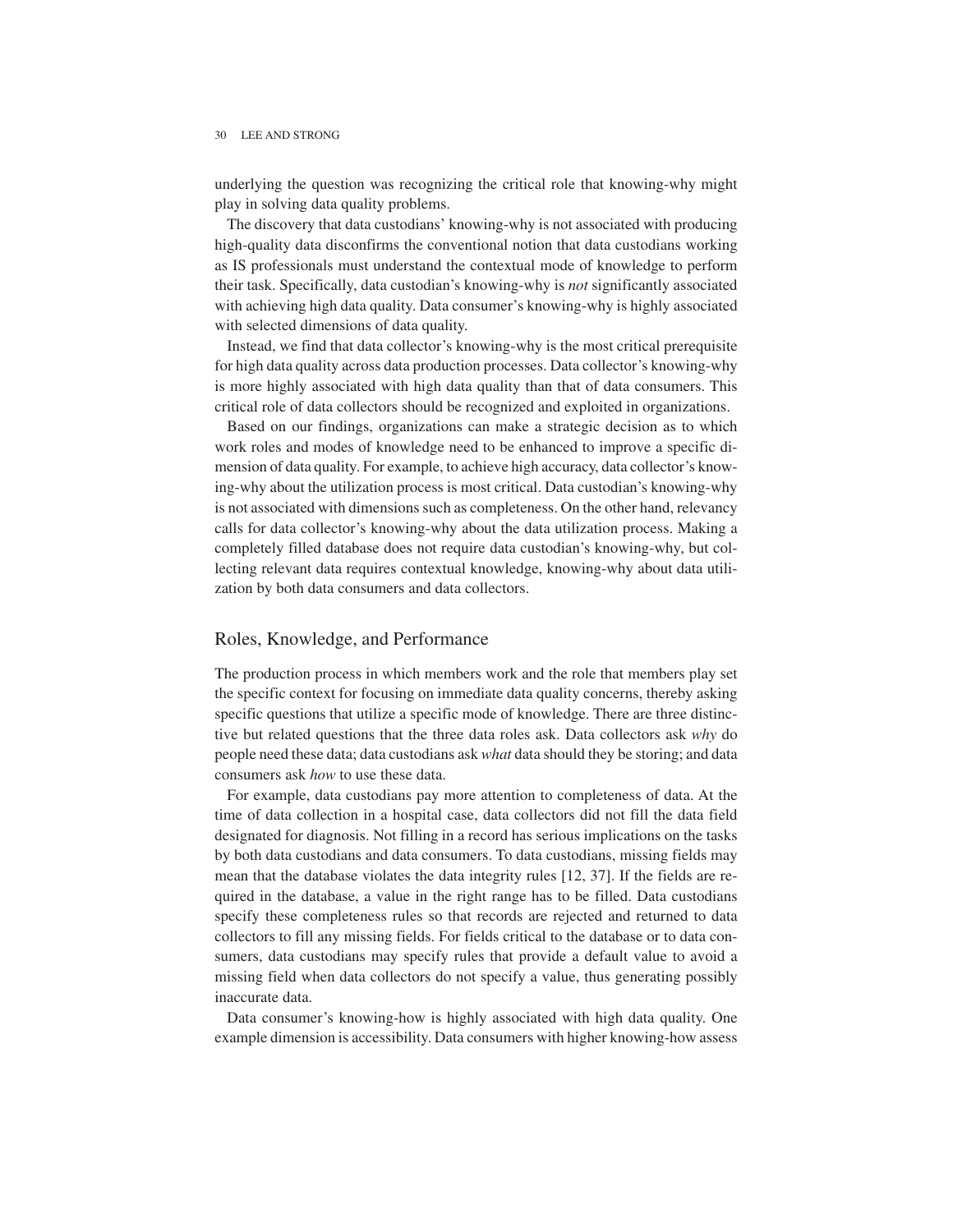underlying the question was recognizing the critical role that knowing-why might play in solving data quality problems.

The discovery that data custodians' knowing-why is not associated with producing high-quality data disconfirms the conventional notion that data custodians working as IS professionals must understand the contextual mode of knowledge to perform their task. Specifically, data custodian's knowing-why is *not* significantly associated with achieving high data quality. Data consumer's knowing-why is highly associated with selected dimensions of data quality.

Instead, we find that data collector's knowing-why is the most critical prerequisite for high data quality across data production processes. Data collector's knowing-why is more highly associated with high data quality than that of data consumers. This critical role of data collectors should be recognized and exploited in organizations.

Based on our findings, organizations can make a strategic decision as to which work roles and modes of knowledge need to be enhanced to improve a specific dimension of data quality. For example, to achieve high accuracy, data collector's knowing-why about the utilization process is most critical. Data custodian's knowing-why is not associated with dimensions such as completeness. On the other hand, relevancy calls for data collector's knowing-why about the data utilization process. Making a completely filled database does not require data custodian's knowing-why, but collecting relevant data requires contextual knowledge, knowing-why about data utilization by both data consumers and data collectors.

## Roles, Knowledge, and Performance

The production process in which members work and the role that members play set the specific context for focusing on immediate data quality concerns, thereby asking specific questions that utilize a specific mode of knowledge. There are three distinctive but related questions that the three data roles ask. Data collectors ask *why* do people need these data; data custodians ask *what* data should they be storing; and data consumers ask *how* to use these data.

For example, data custodians pay more attention to completeness of data. At the time of data collection in a hospital case, data collectors did not fill the data field designated for diagnosis. Not filling in a record has serious implications on the tasks by both data custodians and data consumers. To data custodians, missing fields may mean that the database violates the data integrity rules [12, 37]. If the fields are required in the database, a value in the right range has to be filled. Data custodians specify these completeness rules so that records are rejected and returned to data collectors to fill any missing fields. For fields critical to the database or to data consumers, data custodians may specify rules that provide a default value to avoid a missing field when data collectors do not specify a value, thus generating possibly inaccurate data.

Data consumer's knowing-how is highly associated with high data quality. One example dimension is accessibility. Data consumers with higher knowing-how assess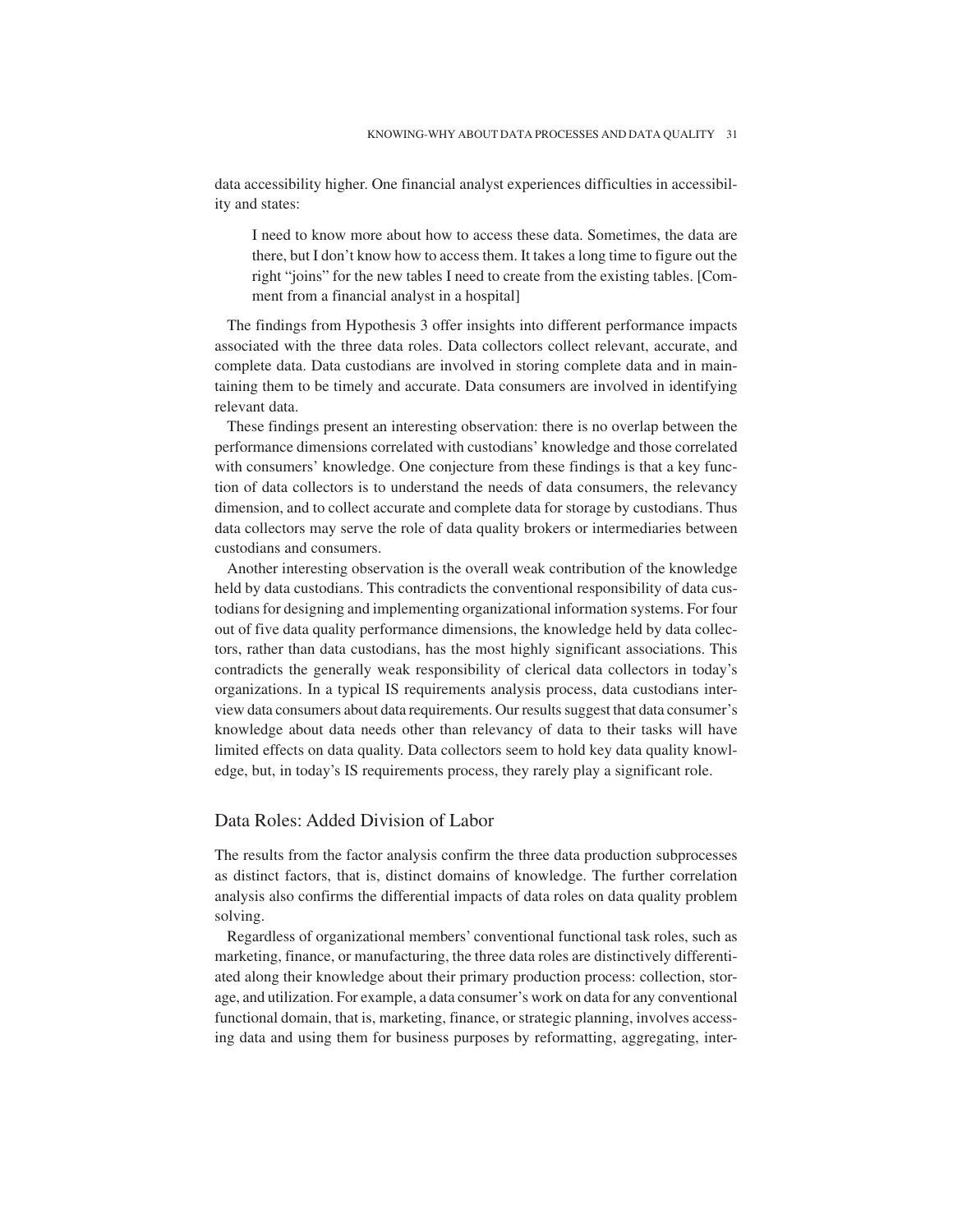data accessibility higher. One financial analyst experiences difficulties in accessibility and states:

I need to know more about how to access these data. Sometimes, the data are there, but I don't know how to access them. It takes a long time to figure out the right "joins" for the new tables I need to create from the existing tables. [Comment from a financial analyst in a hospital]

The findings from Hypothesis 3 offer insights into different performance impacts associated with the three data roles. Data collectors collect relevant, accurate, and complete data. Data custodians are involved in storing complete data and in maintaining them to be timely and accurate. Data consumers are involved in identifying relevant data.

These findings present an interesting observation: there is no overlap between the performance dimensions correlated with custodians' knowledge and those correlated with consumers' knowledge. One conjecture from these findings is that a key function of data collectors is to understand the needs of data consumers, the relevancy dimension, and to collect accurate and complete data for storage by custodians. Thus data collectors may serve the role of data quality brokers or intermediaries between custodians and consumers.

Another interesting observation is the overall weak contribution of the knowledge held by data custodians. This contradicts the conventional responsibility of data custodians for designing and implementing organizational information systems. For four out of five data quality performance dimensions, the knowledge held by data collectors, rather than data custodians, has the most highly significant associations. This contradicts the generally weak responsibility of clerical data collectors in today's organizations. In a typical IS requirements analysis process, data custodians interview data consumers about data requirements. Our results suggest that data consumer's knowledge about data needs other than relevancy of data to their tasks will have limited effects on data quality. Data collectors seem to hold key data quality knowledge, but, in today's IS requirements process, they rarely play a significant role.

# Data Roles: Added Division of Labor

The results from the factor analysis confirm the three data production subprocesses as distinct factors, that is, distinct domains of knowledge. The further correlation analysis also confirms the differential impacts of data roles on data quality problem solving.

Regardless of organizational members' conventional functional task roles, such as marketing, finance, or manufacturing, the three data roles are distinctively differentiated along their knowledge about their primary production process: collection, storage, and utilization. For example, a data consumer's work on data for any conventional functional domain, that is, marketing, finance, or strategic planning, involves accessing data and using them for business purposes by reformatting, aggregating, inter-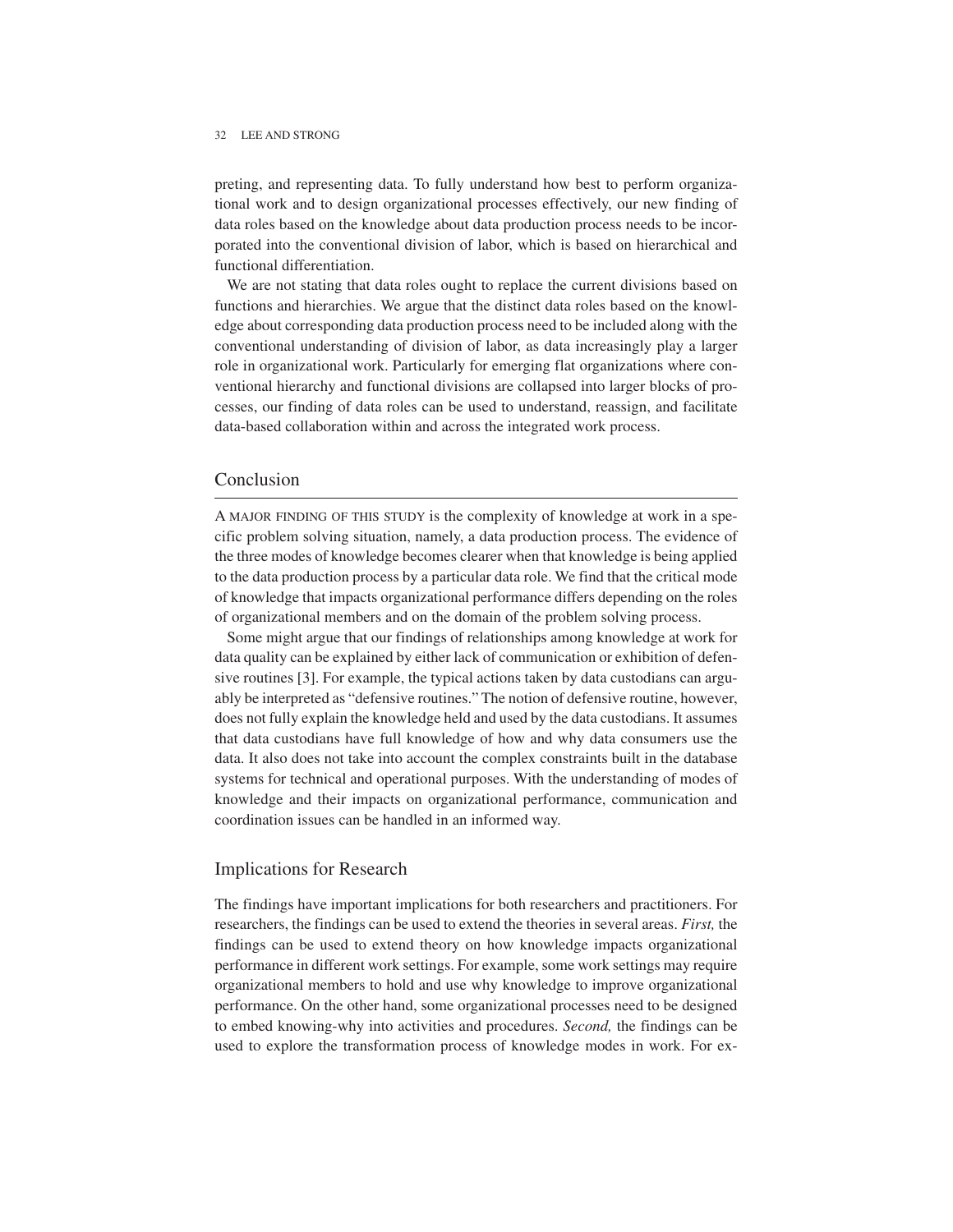preting, and representing data. To fully understand how best to perform organizational work and to design organizational processes effectively, our new finding of data roles based on the knowledge about data production process needs to be incorporated into the conventional division of labor, which is based on hierarchical and functional differentiation.

We are not stating that data roles ought to replace the current divisions based on functions and hierarchies. We argue that the distinct data roles based on the knowledge about corresponding data production process need to be included along with the conventional understanding of division of labor, as data increasingly play a larger role in organizational work. Particularly for emerging flat organizations where conventional hierarchy and functional divisions are collapsed into larger blocks of processes, our finding of data roles can be used to understand, reassign, and facilitate data-based collaboration within and across the integrated work process.

#### Conclusion

A MAJOR FINDING OF THIS STUDY is the complexity of knowledge at work in a specific problem solving situation, namely, a data production process. The evidence of the three modes of knowledge becomes clearer when that knowledge is being applied to the data production process by a particular data role. We find that the critical mode of knowledge that impacts organizational performance differs depending on the roles of organizational members and on the domain of the problem solving process.

Some might argue that our findings of relationships among knowledge at work for data quality can be explained by either lack of communication or exhibition of defensive routines [3]. For example, the typical actions taken by data custodians can arguably be interpreted as "defensive routines." The notion of defensive routine, however, does not fully explain the knowledge held and used by the data custodians. It assumes that data custodians have full knowledge of how and why data consumers use the data. It also does not take into account the complex constraints built in the database systems for technical and operational purposes. With the understanding of modes of knowledge and their impacts on organizational performance, communication and coordination issues can be handled in an informed way.

#### Implications for Research

The findings have important implications for both researchers and practitioners. For researchers, the findings can be used to extend the theories in several areas. *First,* the findings can be used to extend theory on how knowledge impacts organizational performance in different work settings. For example, some work settings may require organizational members to hold and use why knowledge to improve organizational performance. On the other hand, some organizational processes need to be designed to embed knowing-why into activities and procedures. *Second,* the findings can be used to explore the transformation process of knowledge modes in work. For ex-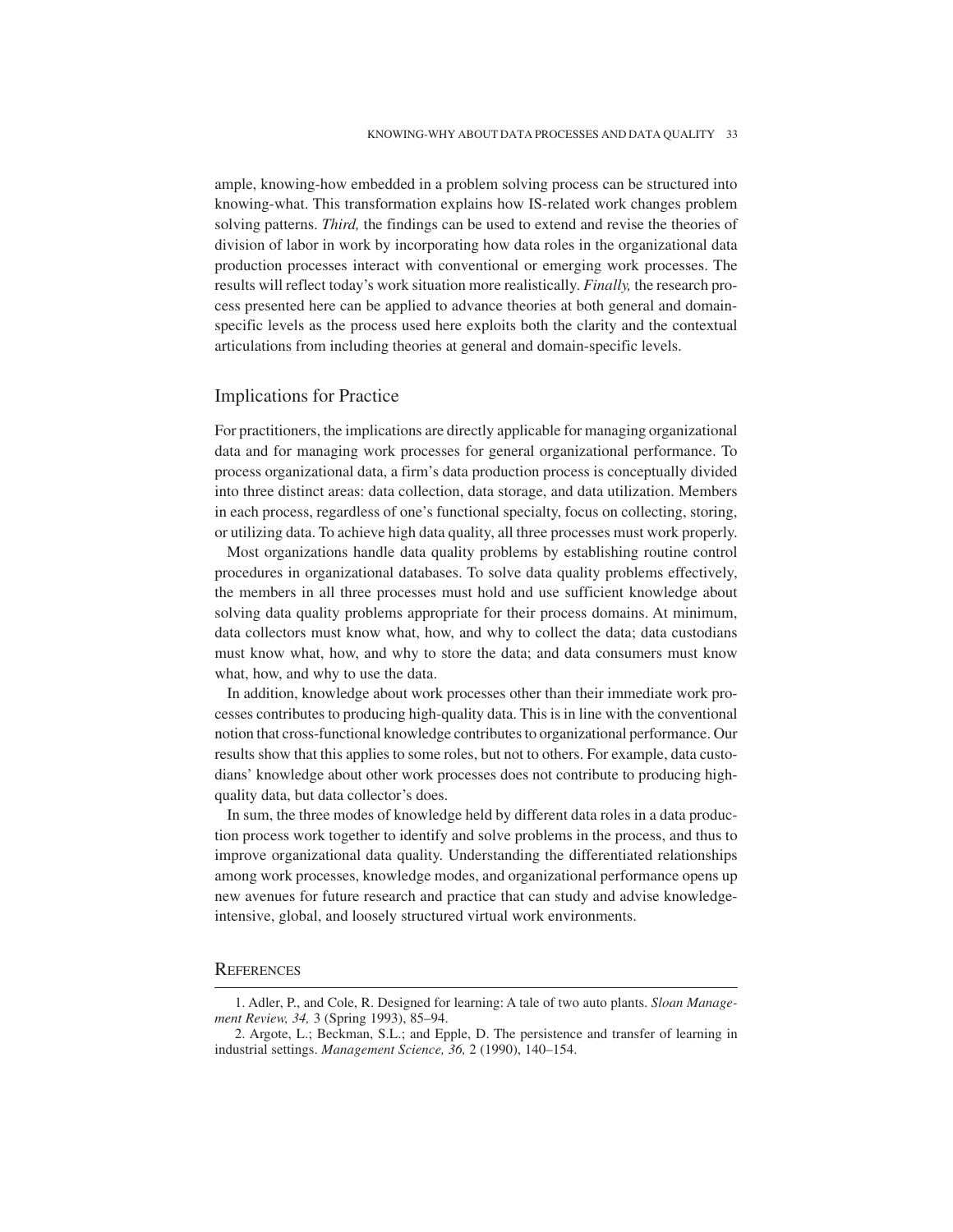ample, knowing-how embedded in a problem solving process can be structured into knowing-what. This transformation explains how IS-related work changes problem solving patterns. *Third,* the findings can be used to extend and revise the theories of division of labor in work by incorporating how data roles in the organizational data production processes interact with conventional or emerging work processes. The results will reflect today's work situation more realistically. *Finally,* the research process presented here can be applied to advance theories at both general and domainspecific levels as the process used here exploits both the clarity and the contextual articulations from including theories at general and domain-specific levels.

## Implications for Practice

For practitioners, the implications are directly applicable for managing organizational data and for managing work processes for general organizational performance. To process organizational data, a firm's data production process is conceptually divided into three distinct areas: data collection, data storage, and data utilization. Members in each process, regardless of one's functional specialty, focus on collecting, storing, or utilizing data. To achieve high data quality, all three processes must work properly.

Most organizations handle data quality problems by establishing routine control procedures in organizational databases. To solve data quality problems effectively, the members in all three processes must hold and use sufficient knowledge about solving data quality problems appropriate for their process domains. At minimum, data collectors must know what, how, and why to collect the data; data custodians must know what, how, and why to store the data; and data consumers must know what, how, and why to use the data.

In addition, knowledge about work processes other than their immediate work processes contributes to producing high-quality data. This is in line with the conventional notion that cross-functional knowledge contributes to organizational performance. Our results show that this applies to some roles, but not to others. For example, data custodians' knowledge about other work processes does not contribute to producing highquality data, but data collector's does.

In sum, the three modes of knowledge held by different data roles in a data production process work together to identify and solve problems in the process, and thus to improve organizational data quality. Understanding the differentiated relationships among work processes, knowledge modes, and organizational performance opens up new avenues for future research and practice that can study and advise knowledgeintensive, global, and loosely structured virtual work environments.

#### **REFERENCES**

<sup>1.</sup> Adler, P., and Cole, R. Designed for learning: A tale of two auto plants. *Sloan Management Review, 34,* 3 (Spring 1993), 85–94.

<sup>2.</sup> Argote, L.; Beckman, S.L.; and Epple, D. The persistence and transfer of learning in industrial settings. *Management Science, 36,* 2 (1990), 140–154.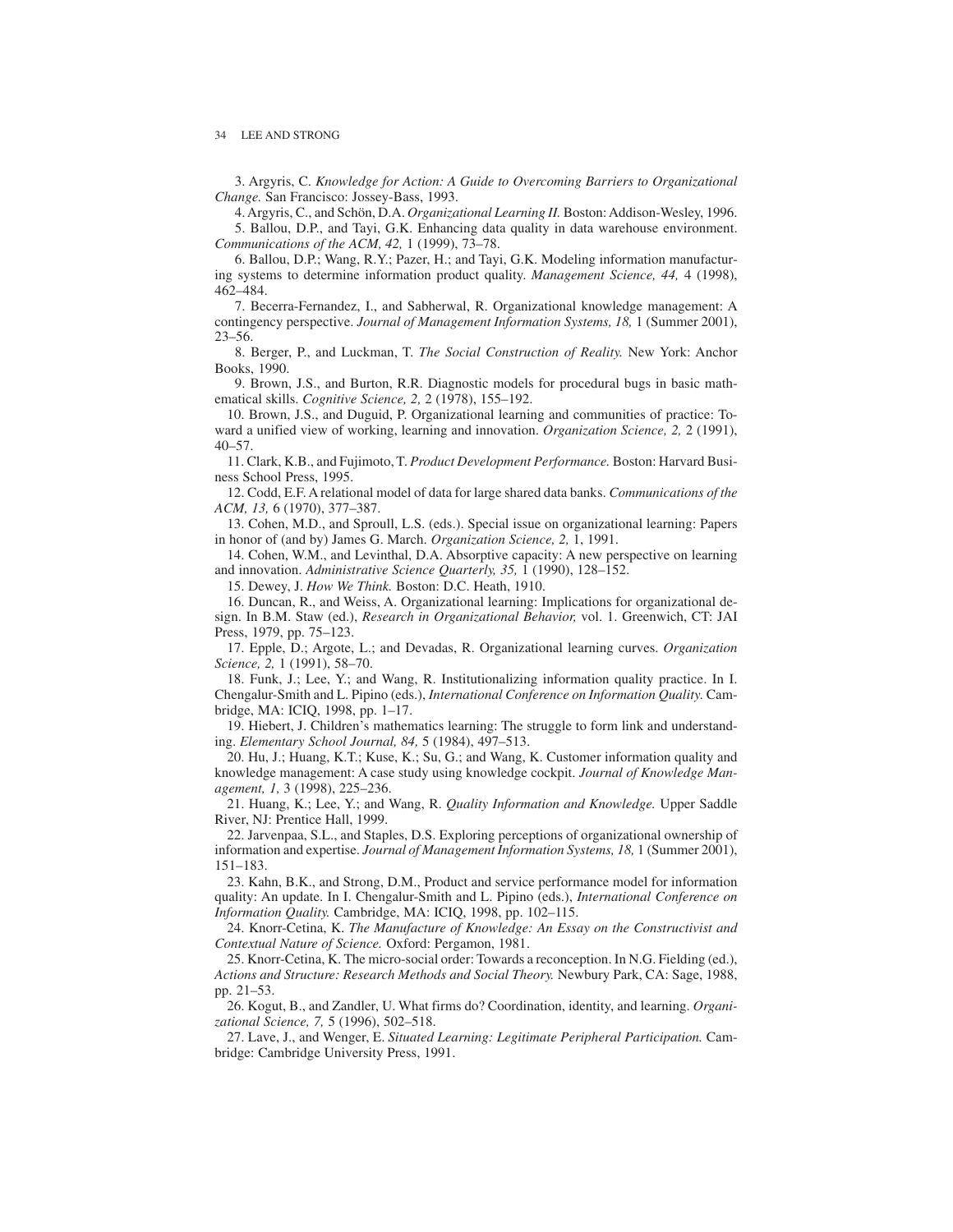3. Argyris, C. *Knowledge for Action: A Guide to Overcoming Barriers to Organizational Change.* San Francisco: Jossey-Bass, 1993.

4. Argyris, C., and Schön, D.A. *Organizational Learning II.* Boston: Addison-Wesley, 1996.

5. Ballou, D.P., and Tayi, G.K. Enhancing data quality in data warehouse environment. *Communications of the ACM, 42,* 1 (1999), 73–78.

6. Ballou, D.P.; Wang, R.Y.; Pazer, H.; and Tayi, G.K. Modeling information manufacturing systems to determine information product quality. *Management Science, 44,* 4 (1998), 462–484.

7. Becerra-Fernandez, I., and Sabherwal, R. Organizational knowledge management: A contingency perspective. *Journal of Management Information Systems, 18,* 1 (Summer 2001), 23–56.

8. Berger, P., and Luckman, T. *The Social Construction of Reality.* New York: Anchor Books, 1990.

9. Brown, J.S., and Burton, R.R. Diagnostic models for procedural bugs in basic mathematical skills. *Cognitive Science, 2,* 2 (1978), 155–192.

10. Brown, J.S., and Duguid, P. Organizational learning and communities of practice: Toward a unified view of working, learning and innovation. *Organization Science, 2,* 2 (1991), 40–57.

11. Clark, K.B., and Fujimoto, T. *Product Development Performance.* Boston: Harvard Business School Press, 1995.

12. Codd, E.F. A relational model of data for large shared data banks. *Communications of the ACM, 13,* 6 (1970), 377–387.

13. Cohen, M.D., and Sproull, L.S. (eds.). Special issue on organizational learning: Papers in honor of (and by) James G. March. *Organization Science, 2,* 1, 1991.

14. Cohen, W.M., and Levinthal, D.A. Absorptive capacity: A new perspective on learning and innovation. *Administrative Science Quarterly, 35,* 1 (1990), 128–152.

15. Dewey, J. *How We Think.* Boston: D.C. Heath, 1910.

16. Duncan, R., and Weiss, A. Organizational learning: Implications for organizational design. In B.M. Staw (ed.), *Research in Organizational Behavior,* vol. 1. Greenwich, CT: JAI Press, 1979, pp. 75–123.

17. Epple, D.; Argote, L.; and Devadas, R. Organizational learning curves. *Organization Science, 2,* 1 (1991), 58–70.

18. Funk, J.; Lee, Y.; and Wang, R. Institutionalizing information quality practice. In I. Chengalur-Smith and L. Pipino (eds.), *International Conference on Information Quality.* Cambridge, MA: ICIQ, 1998, pp. 1–17.

19. Hiebert, J. Children's mathematics learning: The struggle to form link and understanding. *Elementary School Journal, 84,* 5 (1984), 497–513.

20. Hu, J.; Huang, K.T.; Kuse, K.; Su, G.; and Wang, K. Customer information quality and knowledge management: A case study using knowledge cockpit. *Journal of Knowledge Management, 1,* 3 (1998), 225–236.

21. Huang, K.; Lee, Y.; and Wang, R. *Quality Information and Knowledge.* Upper Saddle River, NJ: Prentice Hall, 1999.

22. Jarvenpaa, S.L., and Staples, D.S. Exploring perceptions of organizational ownership of information and expertise. *Journal of Management Information Systems, 18,* 1 (Summer 2001), 151–183.

23. Kahn, B.K., and Strong, D.M., Product and service performance model for information quality: An update. In I. Chengalur-Smith and L. Pipino (eds.), *International Conference on Information Quality.* Cambridge, MA: ICIQ, 1998, pp. 102–115.

24. Knorr-Cetina, K. *The Manufacture of Knowledge: An Essay on the Constructivist and Contextual Nature of Science.* Oxford: Pergamon, 1981.

25. Knorr-Cetina, K. The micro-social order: Towards a reconception. In N.G. Fielding (ed.), *Actions and Structure: Research Methods and Social Theory.* Newbury Park, CA: Sage, 1988, pp. 21–53.

26. Kogut, B., and Zandler, U. What firms do? Coordination, identity, and learning. *Organizational Science, 7,* 5 (1996), 502–518.

27. Lave, J., and Wenger, E. *Situated Learning: Legitimate Peripheral Participation.* Cambridge: Cambridge University Press, 1991.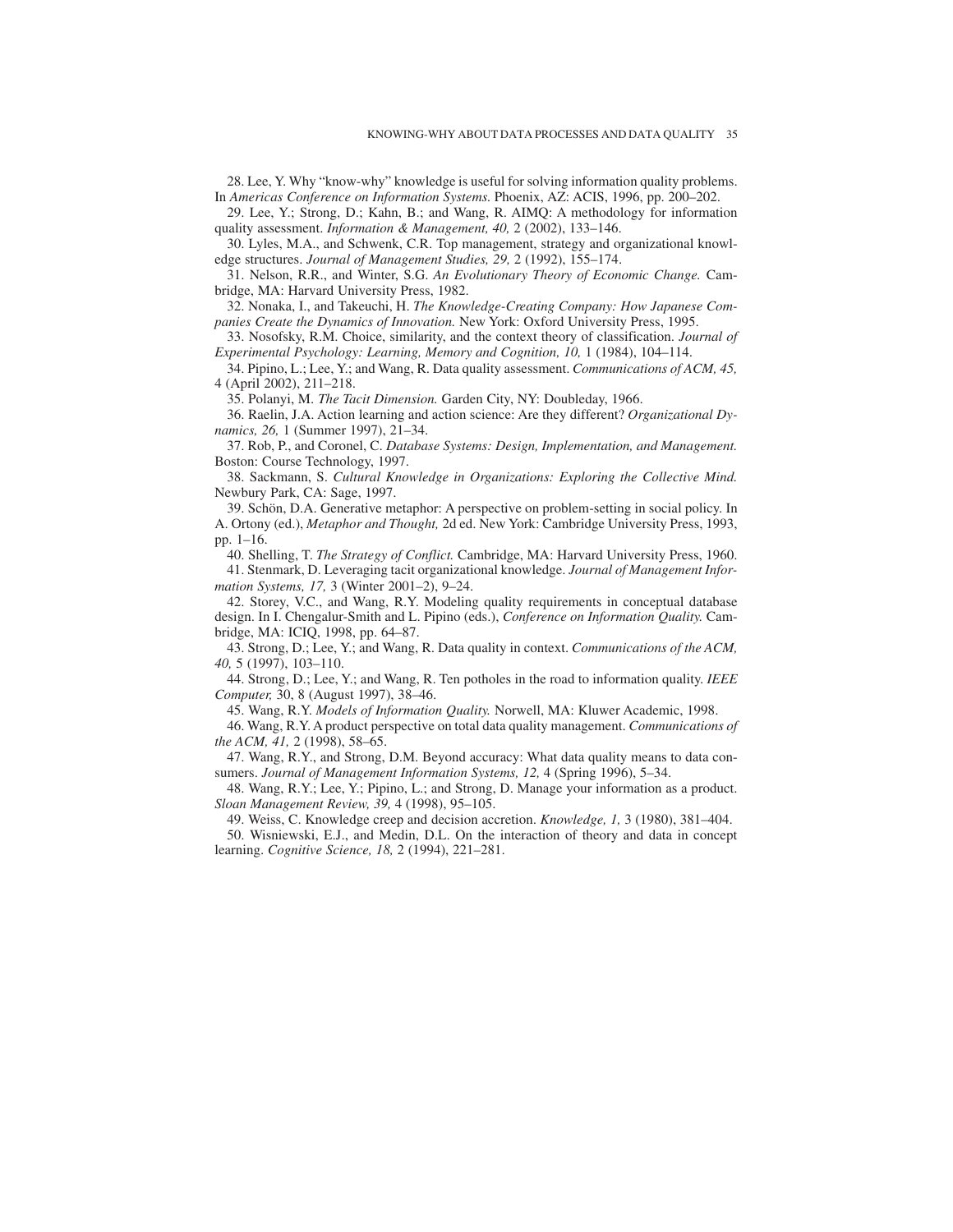28. Lee, Y. Why "know-why" knowledge is useful for solving information quality problems. In *Americas Conference on Information Systems.* Phoenix, AZ: ACIS, 1996, pp. 200–202.

29. Lee, Y.; Strong, D.; Kahn, B.; and Wang, R. AIMQ: A methodology for information quality assessment. *Information & Management, 40,* 2 (2002), 133–146.

30. Lyles, M.A., and Schwenk, C.R. Top management, strategy and organizational knowledge structures. *Journal of Management Studies, 29,* 2 (1992), 155–174.

31. Nelson, R.R., and Winter, S.G. *An Evolutionary Theory of Economic Change.* Cambridge, MA: Harvard University Press, 1982.

32. Nonaka, I., and Takeuchi, H. *The Knowledge-Creating Company: How Japanese Companies Create the Dynamics of Innovation.* New York: Oxford University Press, 1995.

33. Nosofsky, R.M. Choice, similarity, and the context theory of classification. *Journal of Experimental Psychology: Learning, Memory and Cognition, 10,* 1 (1984), 104–114.

34. Pipino, L.; Lee, Y.; and Wang, R. Data quality assessment. *Communications of ACM, 45,* 4 (April 2002), 211–218.

35. Polanyi, M. *The Tacit Dimension.* Garden City, NY: Doubleday, 1966.

36. Raelin, J.A. Action learning and action science: Are they different? *Organizational Dynamics, 26,* 1 (Summer 1997), 21–34.

37. Rob, P., and Coronel, C. *Database Systems: Design, Implementation, and Management.* Boston: Course Technology, 1997.

38. Sackmann, S. *Cultural Knowledge in Organizations: Exploring the Collective Mind.* Newbury Park, CA: Sage, 1997.

39. Schön, D.A. Generative metaphor: A perspective on problem-setting in social policy. In A. Ortony (ed.), *Metaphor and Thought,* 2d ed. New York: Cambridge University Press, 1993, pp. 1–16.

40. Shelling, T. *The Strategy of Conflict.* Cambridge, MA: Harvard University Press, 1960. 41. Stenmark, D. Leveraging tacit organizational knowledge. *Journal of Management Information Systems, 17,* 3 (Winter 2001–2), 9–24.

42. Storey, V.C., and Wang, R.Y. Modeling quality requirements in conceptual database design. In I. Chengalur-Smith and L. Pipino (eds.), *Conference on Information Quality.* Cambridge, MA: ICIQ, 1998, pp. 64–87.

43. Strong, D.; Lee, Y.; and Wang, R. Data quality in context. *Communications of the ACM, 40,* 5 (1997), 103–110.

44. Strong, D.; Lee, Y.; and Wang, R. Ten potholes in the road to information quality. *IEEE Computer,* 30, 8 (August 1997), 38–46.

45. Wang, R.Y. *Models of Information Quality.* Norwell, MA: Kluwer Academic, 1998.

46. Wang, R.Y. A product perspective on total data quality management. *Communications of the ACM, 41,* 2 (1998), 58–65.

47. Wang, R.Y., and Strong, D.M. Beyond accuracy: What data quality means to data consumers. *Journal of Management Information Systems, 12, 4 (Spring 1996), 5–34.* 

48. Wang, R.Y.; Lee, Y.; Pipino, L.; and Strong, D. Manage your information as a product. *Sloan Management Review, 39,* 4 (1998), 95–105.

49. Weiss, C. Knowledge creep and decision accretion. *Knowledge, 1,* 3 (1980), 381–404. 50. Wisniewski, E.J., and Medin, D.L. On the interaction of theory and data in concept learning. *Cognitive Science, 18,* 2 (1994), 221–281.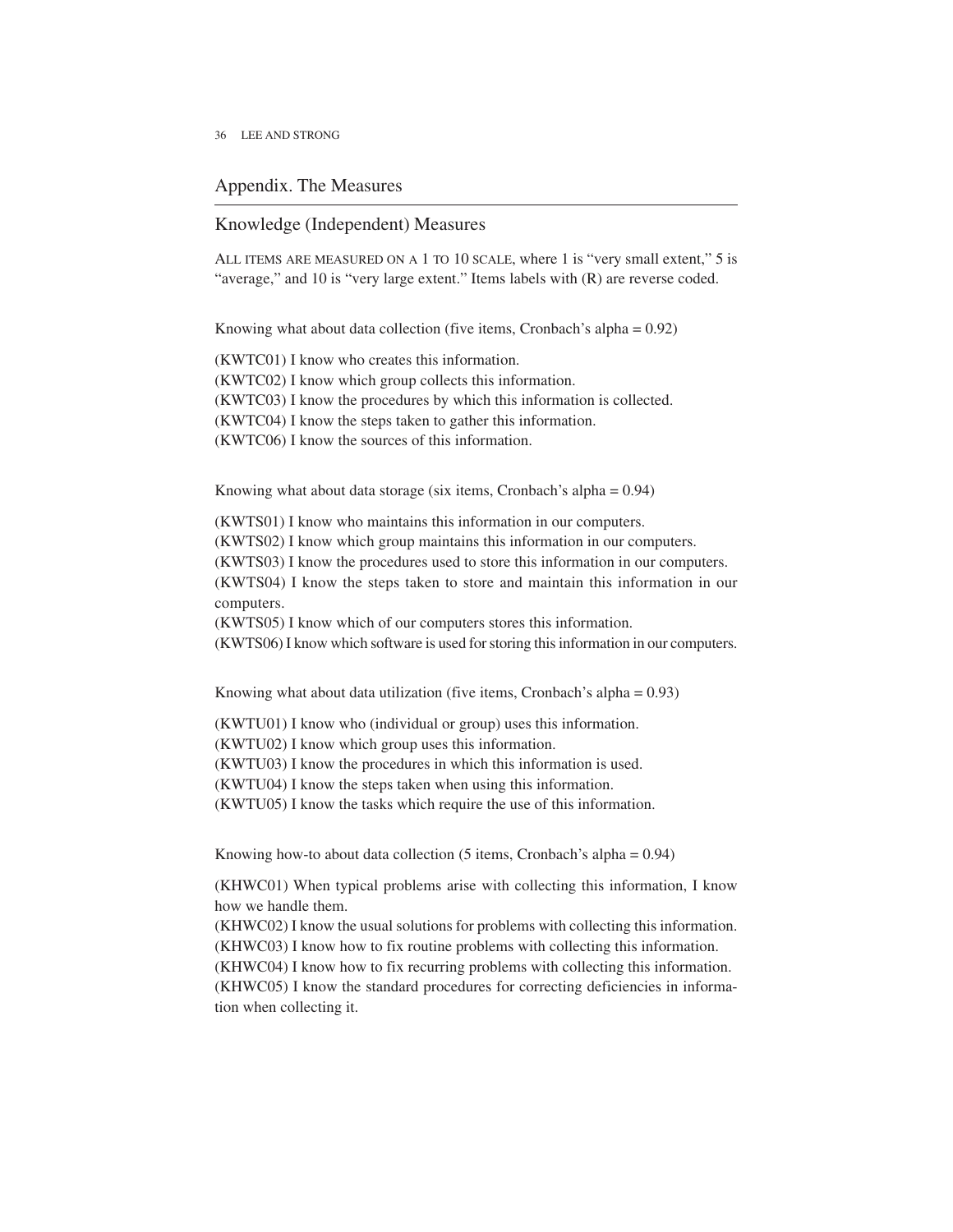## Appendix. The Measures

#### Knowledge (Independent) Measures

ALL ITEMS ARE MEASURED ON A 1 TO 10 SCALE, where 1 is "very small extent," 5 is "average," and 10 is "very large extent." Items labels with (R) are reverse coded.

Knowing what about data collection (five items, Cronbach's alpha  $= 0.92$ )

(KWTC01) I know who creates this information. (KWTC02) I know which group collects this information. (KWTC03) I know the procedures by which this information is collected. (KWTC04) I know the steps taken to gather this information. (KWTC06) I know the sources of this information.

Knowing what about data storage (six items, Cronbach's alpha  $= 0.94$ )

(KWTS01) I know who maintains this information in our computers. (KWTS02) I know which group maintains this information in our computers. (KWTS03) I know the procedures used to store this information in our computers. (KWTS04) I know the steps taken to store and maintain this information in our computers. (KWTS05) I know which of our computers stores this information.

(KWTS06) I know which software is used for storing this information in our computers.

Knowing what about data utilization (five items, Cronbach's alpha = 0.93)

(KWTU01) I know who (individual or group) uses this information.

(KWTU02) I know which group uses this information.

(KWTU03) I know the procedures in which this information is used.

(KWTU04) I know the steps taken when using this information.

(KWTU05) I know the tasks which require the use of this information.

Knowing how-to about data collection (5 items, Cronbach's alpha = 0.94)

(KHWC01) When typical problems arise with collecting this information, I know how we handle them.

(KHWC02) I know the usual solutions for problems with collecting this information. (KHWC03) I know how to fix routine problems with collecting this information.

(KHWC04) I know how to fix recurring problems with collecting this information. (KHWC05) I know the standard procedures for correcting deficiencies in information when collecting it.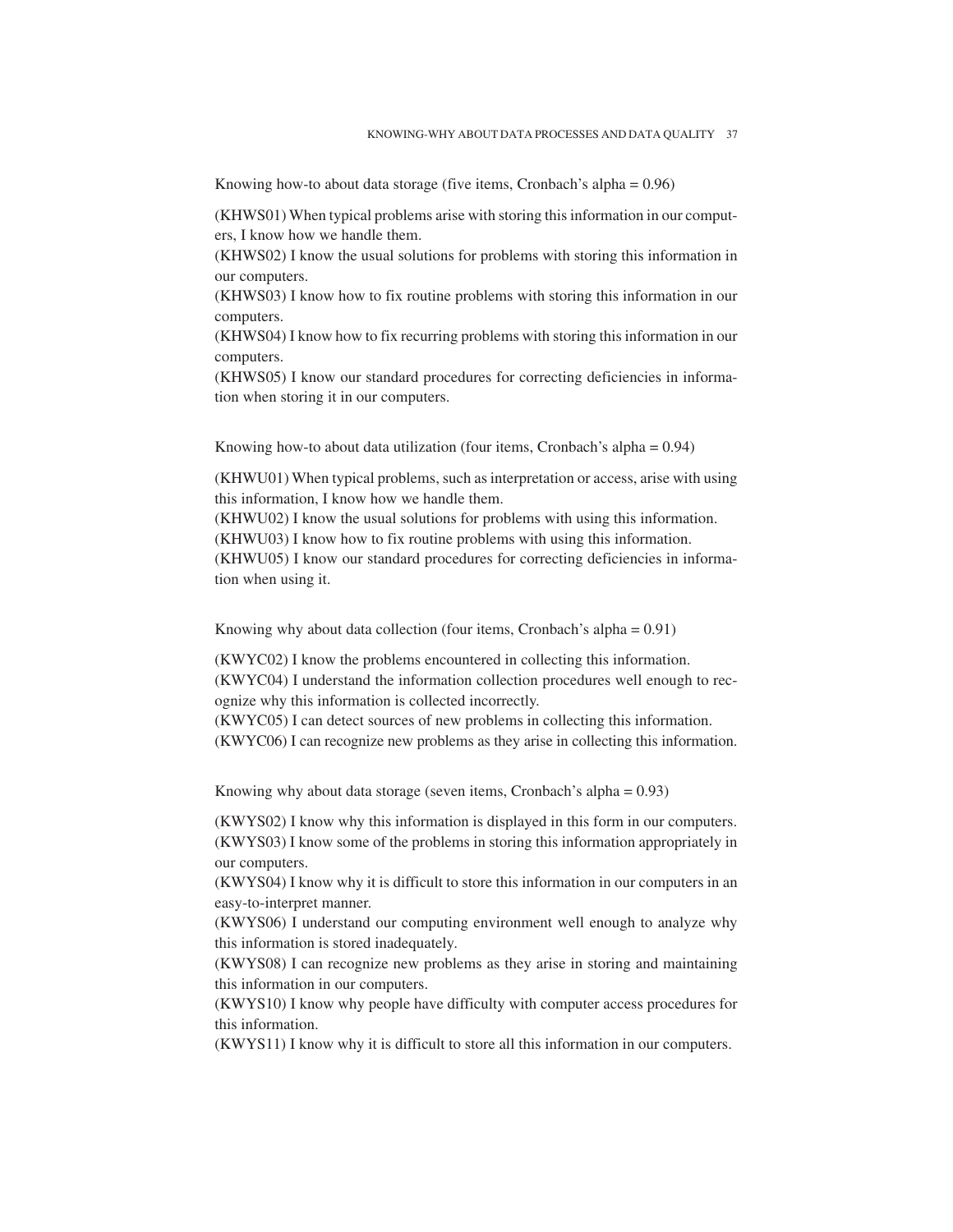Knowing how-to about data storage (five items, Cronbach's alpha  $= 0.96$ )

(KHWS01) When typical problems arise with storing this information in our computers, I know how we handle them.

(KHWS02) I know the usual solutions for problems with storing this information in our computers.

(KHWS03) I know how to fix routine problems with storing this information in our computers.

(KHWS04) I know how to fix recurring problems with storing this information in our computers.

(KHWS05) I know our standard procedures for correcting deficiencies in information when storing it in our computers.

Knowing how-to about data utilization (four items, Cronbach's alpha = 0.94)

(KHWU01) When typical problems, such as interpretation or access, arise with using this information, I know how we handle them.

(KHWU02) I know the usual solutions for problems with using this information. (KHWU03) I know how to fix routine problems with using this information.

(KHWU05) I know our standard procedures for correcting deficiencies in information when using it.

Knowing why about data collection (four items, Cronbach's alpha = 0.91)

(KWYC02) I know the problems encountered in collecting this information.

(KWYC04) I understand the information collection procedures well enough to recognize why this information is collected incorrectly.

(KWYC05) I can detect sources of new problems in collecting this information.

(KWYC06) I can recognize new problems as they arise in collecting this information.

Knowing why about data storage (seven items, Cronbach's alpha = 0.93)

(KWYS02) I know why this information is displayed in this form in our computers. (KWYS03) I know some of the problems in storing this information appropriately in our computers.

(KWYS04) I know why it is difficult to store this information in our computers in an easy-to-interpret manner.

(KWYS06) I understand our computing environment well enough to analyze why this information is stored inadequately.

(KWYS08) I can recognize new problems as they arise in storing and maintaining this information in our computers.

(KWYS10) I know why people have difficulty with computer access procedures for this information.

(KWYS11) I know why it is difficult to store all this information in our computers.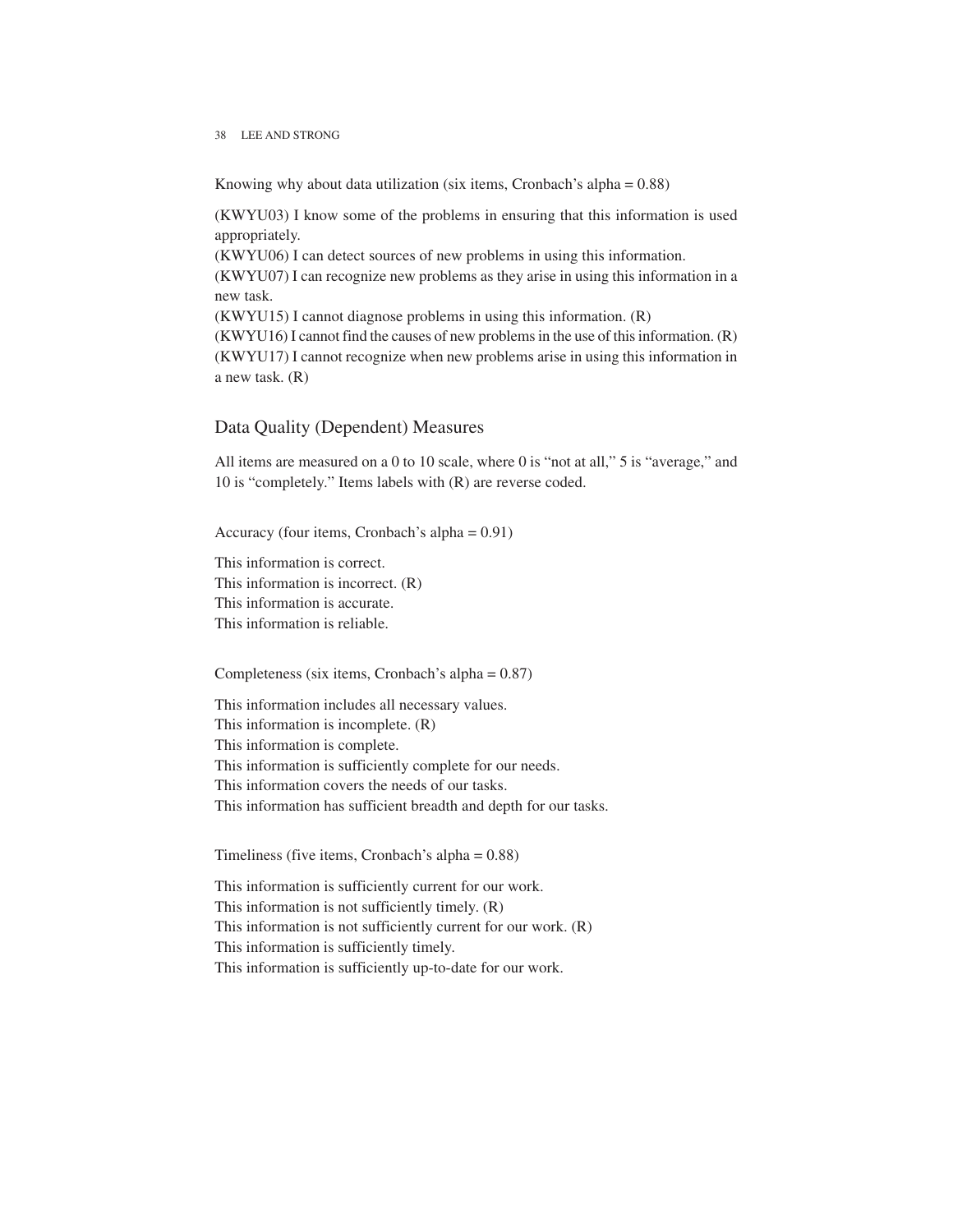Knowing why about data utilization (six items, Cronbach's alpha  $= 0.88$ )

(KWYU03) I know some of the problems in ensuring that this information is used appropriately.

(KWYU06) I can detect sources of new problems in using this information. (KWYU07) I can recognize new problems as they arise in using this information in a new task.

(KWYU15) I cannot diagnose problems in using this information. (R)

(KWYU16) I cannot find the causes of new problems in the use of this information. (R) (KWYU17) I cannot recognize when new problems arise in using this information in a new task. (R)

# Data Quality (Dependent) Measures

All items are measured on a 0 to 10 scale, where 0 is "not at all," 5 is "average," and 10 is "completely." Items labels with (R) are reverse coded.

Accuracy (four items, Cronbach's alpha = 0.91)

This information is correct. This information is incorrect. (R) This information is accurate. This information is reliable.

Completeness (six items, Cronbach's alpha = 0.87)

This information includes all necessary values. This information is incomplete. (R) This information is complete. This information is sufficiently complete for our needs. This information covers the needs of our tasks. This information has sufficient breadth and depth for our tasks.

Timeliness (five items, Cronbach's alpha = 0.88)

This information is sufficiently current for our work. This information is not sufficiently timely. (R) This information is not sufficiently current for our work. (R) This information is sufficiently timely. This information is sufficiently up-to-date for our work.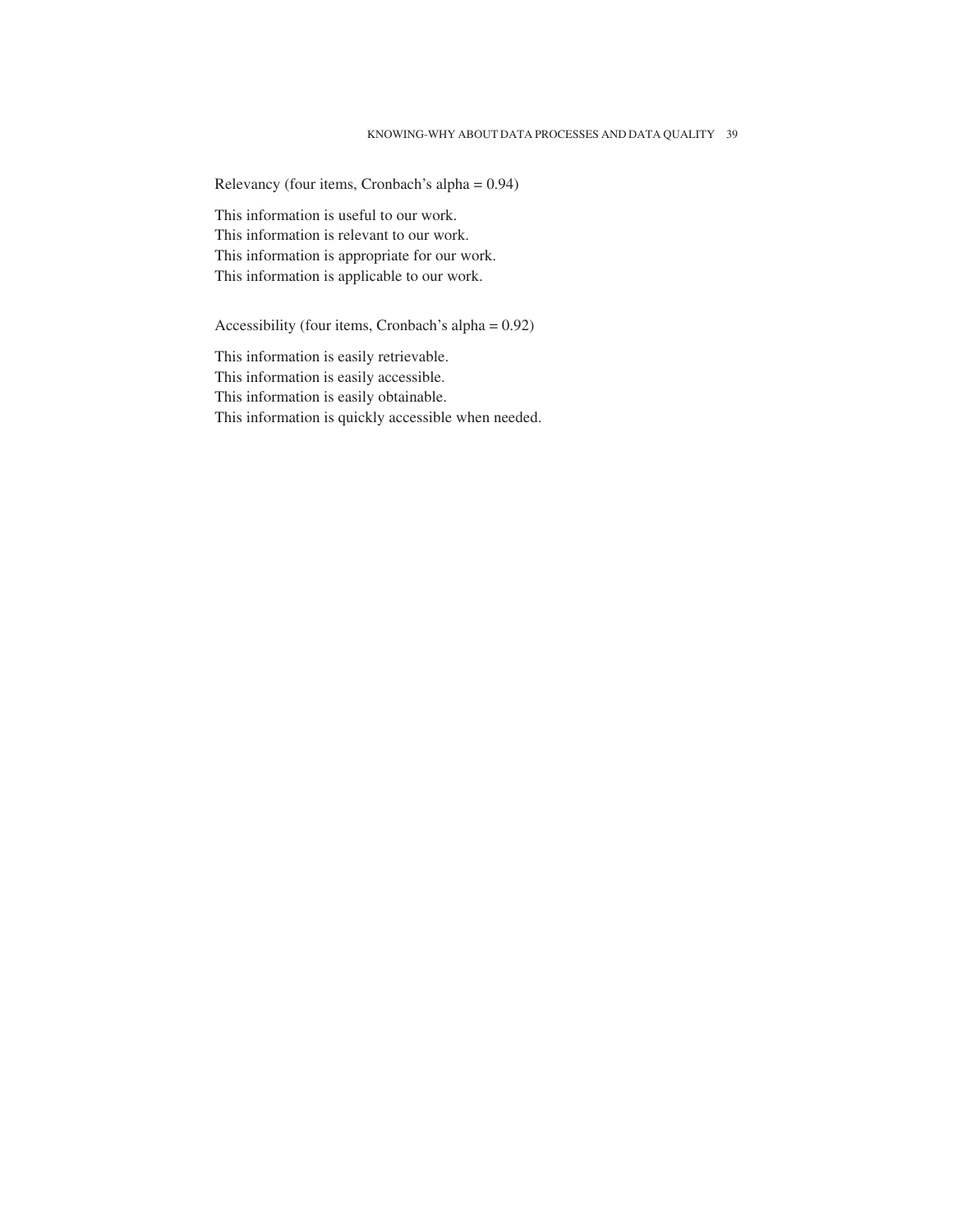#### KNOWING-WHY ABOUT DATA PROCESSES AND DATA QUALITY 39

Relevancy (four items, Cronbach's alpha = 0.94)

This information is useful to our work. This information is relevant to our work. This information is appropriate for our work. This information is applicable to our work.

Accessibility (four items, Cronbach's alpha = 0.92)

This information is easily retrievable. This information is easily accessible. This information is easily obtainable. This information is quickly accessible when needed.